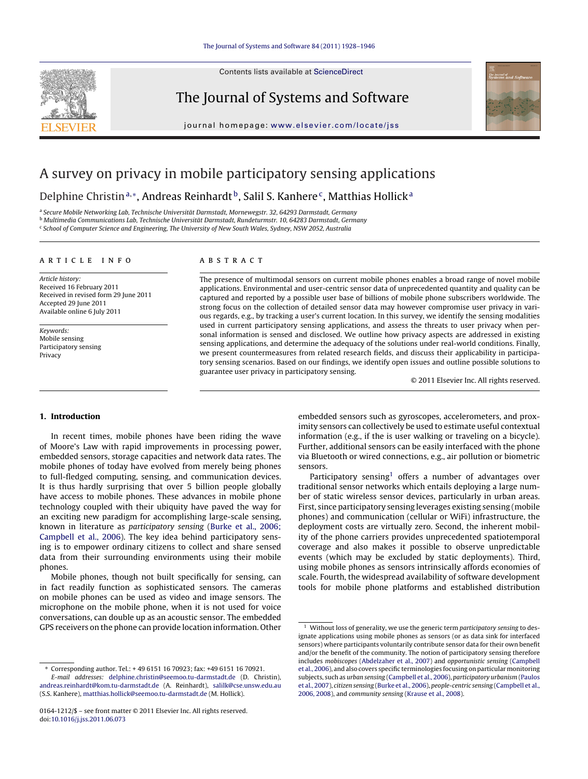Contents lists available at [ScienceDirect](http://www.sciencedirect.com/science/journal/01641212)



# The Journal of Systems and Software

iournal homepage: www.elsevier.com/locate/iss



# A survey on privacy in mobile participatory sensing applications

Delphine Christin<sup>a,∗</sup>, Andreas Reinhardt<sup>b</sup>, Salil S. Kanhere<sup>c</sup>, Matthias Hollick<sup>a</sup>

<sup>a</sup> Secure Mobile Networking Lab, Technische Universität Darmstadt, Mornewegstr. 32, 64293 Darmstadt, Germany <sup>b</sup> Multimedia Communications Lab, Technische Universität Darmstadt, Rundeturmstr. 10, 64283 Darmstadt, Germany

<sup>c</sup> School of Computer Science and Engineering, The University of New South Wales, Sydney, NSW 2052, Australia

# a r t i c l e i n f o

Article history: Received 16 February 2011 Received in revised form 29 June 2011 Accepted 29 June 2011 Available online 6 July 2011

Keywords: Mobile sensing Participatory sensing Privacy

# a b s t r a c t

The presence of multimodal sensors on current mobile phones enables a broad range of novel mobile applications. Environmental and user-centric sensor data of unprecedented quantity and quality can be captured and reported by a possible user base of billions of mobile phone subscribers worldwide. The strong focus on the collection of detailed sensor data may however compromise user privacy in various regards, e.g., by tracking a user's current location. In this survey, we identify the sensing modalities used in current participatory sensing applications, and assess the threats to user privacy when personal information is sensed and disclosed. We outline how privacy aspects are addressed in existing sensing applications, and determine the adequacy of the solutions under real-world conditions. Finally, we present countermeasures from related research fields, and discuss their applicability in participatory sensing scenarios. Based on our findings, we identify open issues and outline possible solutions to guarantee user privacy in participatory sensing.

© 2011 Elsevier Inc. All rights reserved.

#### **1. Introduction**

In recent times, mobile phones have been riding the wave of Moore's Law with rapid improvements in processing power, embedded sensors, storage capacities and network data rates. The mobile phones of today have evolved from merely being phones to full-fledged computing, sensing, and communication devices. It is thus hardly surprising that over 5 billion people globally have access to mobile phones. These advances in mobile phone technology coupled with their ubiquity have paved the way for an exciting new paradigm for accomplishing large-scale sensing, known in literature as participatory sensing ([Burke](#page-16-0) et [al.,](#page-16-0) [2006;](#page-16-0) [Campbell](#page-16-0) et [al.,](#page-16-0) [2006\).](#page-16-0) The key idea behind participatory sensing is to empower ordinary citizens to collect and share sensed data from their surrounding environments using their mobile phones.

Mobile phones, though not built specifically for sensing, can in fact readily function as sophisticated sensors. The cameras on mobile phones can be used as video and image sensors. The microphone on the mobile phone, when it is not used for voice conversations, can double up as an acoustic sensor. The embedded GPS receivers on the phone can provide location information. Other embedded sensors such as gyroscopes, accelerometers, and proximity sensors can collectively be used to estimate useful contextual information (e.g., if the is user walking or traveling on a bicycle). Further, additional sensors can be easily interfaced with the phone via Bluetooth or wired connections, e.g., air pollution or biometric sensors.

Participatory sensing<sup>1</sup> offers a number of advantages over traditional sensor networks which entails deploying a large number of static wireless sensor devices, particularly in urban areas. First, since participatory sensing leverages existing sensing (mobile phones) and communication (cellular or WiFi) infrastructure, the deployment costs are virtually zero. Second, the inherent mobility of the phone carriers provides unprecedented spatiotemporal coverage and also makes it possible to observe unpredictable events (which may be excluded by static deployments). Third, using mobile phones as sensors intrinsically affords economies of scale. Fourth, the widespread availability of software development tools for mobile phone platforms and established distribution

<sup>∗</sup> Corresponding author. Tel.: + 49 6151 16 70923; fax: +49 6151 16 70921. E-mail addresses: [delphine.christin@seemoo.tu-darmstadt.de](mailto:delphine.christin@seemoo.tu-darmstadt.de) (D. Christin), [andreas.reinhardt@kom.tu-darmstadt.de](mailto:andreas.reinhardt@kom.tu-darmstadt.de) (A. Reinhardt), [salilk@cse.unsw.edu.au](mailto:salilk@cse.unsw.edu.au) (S.S. Kanhere), [matthias.hollick@seemoo.tu-darmstadt.de](mailto:matthias.hollick@seemoo.tu-darmstadt.de) (M. Hollick).

<sup>0164-1212/\$</sup> – see front matter © 2011 Elsevier Inc. All rights reserved. doi:[10.1016/j.jss.2011.06.073](dx.doi.org/10.1016/j.jss.2011.06.073)

 $1$  Without loss of generality, we use the generic term participatory sensing to designate applications using mobile phones as sensors (or as data sink for interfaced sensors) where participants voluntarily contribute sensor data for their own benefit and/or the benefit of the community. The notion of participatory sensing therefore includes mobiscopes [\(Abdelzaher](#page-16-0) et [al.,](#page-16-0) [2007\)](#page-16-0) and opportunistic sensing ([Campbell](#page-16-0) et [al.,](#page-16-0) [2006\),](#page-16-0) and also covers specific terminologies focusing on particular monitoring subjects, such as urban sensing [\(Campbell](#page-16-0) et [al.,](#page-16-0) [2006\),](#page-16-0) participatory urbanism ([Paulos](#page-17-0) et [al.,](#page-17-0) [2007\),](#page-17-0) citizen sensing ([Burke](#page-16-0) et [al.,](#page-16-0) [2006\),](#page-16-0) people-centric sensing [\(Campbell](#page-16-0) et [al.,](#page-16-0) [2006,](#page-16-0) [2008\),](#page-16-0) and community sensing [\(Krause](#page-17-0) et [al.,](#page-17-0) [2008\).](#page-17-0)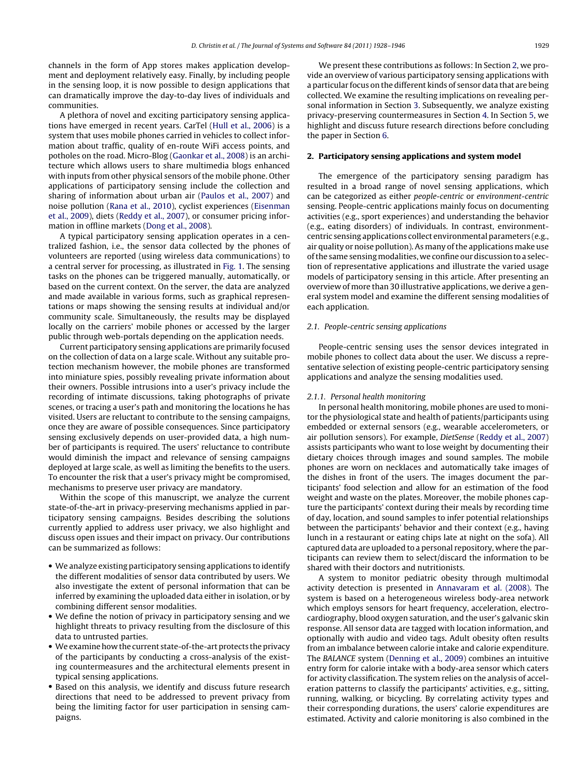<span id="page-1-0"></span>channels in the form of App stores makes application development and deployment relatively easy. Finally, by including people in the sensing loop, it is now possible to design applications that can dramatically improve the day-to-day lives of individuals and communities.

A plethora of novel and exciting participatory sensing applications have emerged in recent years. CarTel ([Hull](#page-17-0) et [al.,](#page-17-0) [2006\)](#page-17-0) is a system that uses mobile phones carried in vehicles to collect information about traffic, quality of en-route WiFi access points, and potholes on the road. Micro-Blog [\(Gaonkar](#page-16-0) et [al.,](#page-16-0) [2008\)](#page-16-0) is an architecture which allows users to share multimedia blogs enhanced with inputs from other physical sensors of the mobile phone. Other applications of participatory sensing include the collection and sharing of information about urban air ([Paulos](#page-17-0) et [al.,](#page-17-0) [2007\)](#page-17-0) and noise pollution ([Rana](#page-17-0) et [al.,](#page-17-0) [2010\),](#page-17-0) cyclist experiences [\(Eisenman](#page-16-0) et [al.,](#page-16-0) [2009\),](#page-16-0) diets ([Reddy](#page-17-0) et [al.,](#page-17-0) [2007\),](#page-17-0) or consumer pricing information in offline markets ([Dong](#page-16-0) et [al.,](#page-16-0) [2008\).](#page-16-0)

A typical participatory sensing application operates in a centralized fashion, i.e., the sensor data collected by the phones of volunteers are reported (using wireless data communications) to a central server for processing, as illustrated in [Fig.](#page-2-0) 1. The sensing tasks on the phones can be triggered manually, automatically, or based on the current context. On the server, the data are analyzed and made available in various forms, such as graphical representations or maps showing the sensing results at individual and/or community scale. Simultaneously, the results may be displayed locally on the carriers' mobile phones or accessed by the larger public through web-portals depending on the application needs.

Current participatory sensing applications are primarily focused on the collection of data on a large scale. Without any suitable protection mechanism however, the mobile phones are transformed into miniature spies, possibly revealing private information about their owners. Possible intrusions into a user's privacy include the recording of intimate discussions, taking photographs of private scenes, or tracing a user's path and monitoring the locations he has visited. Users are reluctant to contribute to the sensing campaigns, once they are aware of possible consequences. Since participatory sensing exclusively depends on user-provided data, a high number of participants is required. The users' reluctance to contribute would diminish the impact and relevance of sensing campaigns deployed at large scale, as well as limiting the benefits to the users. To encounter the risk that a user's privacy might be compromised, mechanisms to preserve user privacy are mandatory.

Within the scope of this manuscript, we analyze the current state-of-the-art in privacy-preserving mechanisms applied in participatory sensing campaigns. Besides describing the solutions currently applied to address user privacy, we also highlight and discuss open issues and their impact on privacy. Our contributions can be summarized as follows:

- We analyze existing participatory sensing applications to identify the different modalities of sensor data contributed by users. We also investigate the extent of personal information that can be inferred by examining the uploaded data either in isolation, or by combining different sensor modalities.
- We define the notion of privacy in participatory sensing and we highlight threats to privacy resulting from the disclosure of this data to untrusted parties.
- We examine how the current state-of-the-art protects the privacy of the participants by conducting a cross-analysis of the existing countermeasures and the architectural elements present in typical sensing applications.
- Based on this analysis, we identify and discuss future research directions that need to be addressed to prevent privacy from being the limiting factor for user participation in sensing campaigns.

We present these contributions as follows: In Section 2, we provide an overview of various participatory sensing applications with a particular focus on the different kinds of sensor data that are being collected. We examine the resulting implications on revealing personal information in Section [3.](#page-5-0) Subsequently, we analyze existing privacy-preserving countermeasures in Section [4.](#page-8-0) In Section [5,](#page-13-0) we highlight and discuss future research directions before concluding the paper in Section [6.](#page-15-0)

#### **2. Participatory sensing applications and system model**

The emergence of the participatory sensing paradigm has resulted in a broad range of novel sensing applications, which can be categorized as either people-centric or environment-centric sensing. People-centric applications mainly focus on documenting activities (e.g., sport experiences) and understanding the behavior (e.g., eating disorders) of individuals. In contrast, environmentcentric sensing applications collect environmental parameters (e.g., air quality or noise pollution). As many of the applications make use of the same sensing modalities, we confine our discussion to a selection of representative applications and illustrate the varied usage models of participatory sensing in this article. After presenting an overview of more than 30 illustrative applications, we derive a general system model and examine the different sensing modalities of each application.

#### 2.1. People-centric sensing applications

People-centric sensing uses the sensor devices integrated in mobile phones to collect data about the user. We discuss a representative selection of existing people-centric participatory sensing applications and analyze the sensing modalities used.

#### 2.1.1. Personal health monitoring

In personal health monitoring, mobile phones are used to monitor the physiological state and health of patients/participants using embedded or external sensors (e.g., wearable accelerometers, or air pollution sensors). For example, DietSense ([Reddy](#page-17-0) et [al.,](#page-17-0) [2007\)](#page-17-0) assists participants who want to lose weight by documenting their dietary choices through images and sound samples. The mobile phones are worn on necklaces and automatically take images of the dishes in front of the users. The images document the participants' food selection and allow for an estimation of the food weight and waste on the plates. Moreover, the mobile phones capture the participants' context during their meals by recording time of day, location, and sound samples to infer potential relationships between the participants' behavior and their context (e.g., having lunch in a restaurant or eating chips late at night on the sofa). All captured data are uploaded to a personal repository, where the participants can review them to select/discard the information to be shared with their doctors and nutritionists.

A system to monitor pediatric obesity through multimodal activity detection is presented in [Annavaram](#page-16-0) [et](#page-16-0) [al.](#page-16-0) [\(2008\).](#page-16-0) The system is based on a heterogeneous wireless body-area network which employs sensors for heart frequency, acceleration, electrocardiography, blood oxygen saturation, and the user's galvanic skin response. All sensor data are tagged with location information, and optionally with audio and video tags. Adult obesity often results from an imbalance between calorie intake and calorie expenditure. The BALANCE system ([Denning](#page-16-0) [et](#page-16-0) [al.,](#page-16-0) [2009\)](#page-16-0) combines an intuitive entry form for calorie intake with a body-area sensor which caters for activity classification. The system relies on the analysis of acceleration patterns to classify the participants' activities, e.g., sitting, running, walking, or bicycling. By correlating activity types and their corresponding durations, the users' calorie expenditures are estimated. Activity and calorie monitoring is also combined in the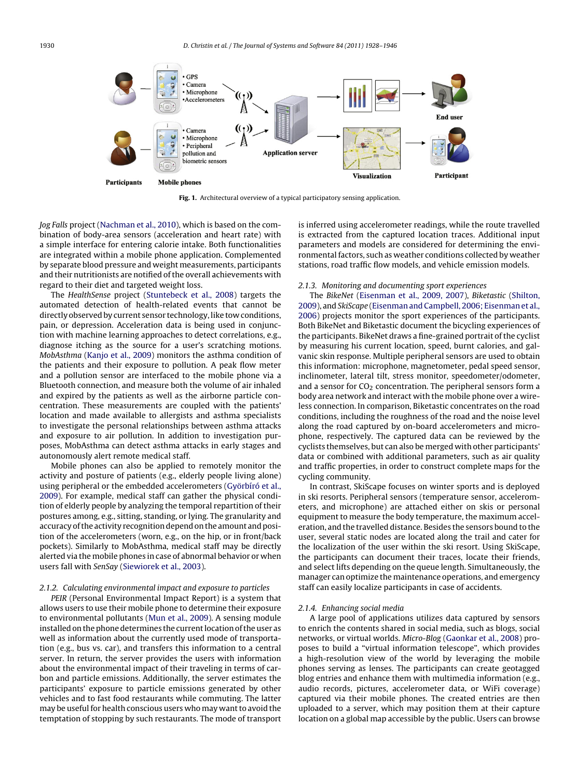<span id="page-2-0"></span>

**Fig. 1.** Architectural overview of a typical participatory sensing application.

Jog Falls project ([Nachman](#page-17-0) et [al.,](#page-17-0) [2010\),](#page-17-0) which is based on the combination of body-area sensors (acceleration and heart rate) with a simple interface for entering calorie intake. Both functionalities are integrated within a mobile phone application. Complemented by separate blood pressure and weight measurements, participants and their nutritionists are notified of the overall achievements with regard to their diet and targeted weight loss.

The HealthSense project [\(Stuntebeck](#page-17-0) et [al.,](#page-17-0) [2008\)](#page-17-0) targets the automated detection of health-related events that cannot be directly observed by current sensor technology, like tow conditions, pain, or depression. Acceleration data is being used in conjunction with machine learning approaches to detect correlations, e.g., diagnose itching as the source for a user's scratching motions. MobAsthma [\(Kanjo](#page-17-0) et [al.,](#page-17-0) [2009\)](#page-17-0) monitors the asthma condition of the patients and their exposure to pollution. A peak flow meter and a pollution sensor are interfaced to the mobile phone via a Bluetooth connection, and measure both the volume of air inhaled and expired by the patients as well as the airborne particle concentration. These measurements are coupled with the patients' location and made available to allergists and asthma specialists to investigate the personal relationships between asthma attacks and exposure to air pollution. In addition to investigation purposes, MobAsthma can detect asthma attacks in early stages and autonomously alert remote medical staff.

Mobile phones can also be applied to remotely monitor the activity and posture of patients (e.g., elderly people living alone) using peripheral or the embedded accelerometers [\(Györbíró](#page-16-0) et [al.,](#page-16-0) [2009\).](#page-16-0) For example, medical staff can gather the physical condition of elderly people by analyzing the temporal repartition of their postures among, e.g., sitting, standing, or lying. The granularity and accuracy of the activity recognition depend on the amount and position of the accelerometers (worn, e.g., on the hip, or in front/back pockets). Similarly to MobAsthma, medical staff may be directly alerted via the mobile phones in case of abnormal behavior or when users fall with SenSay ([Siewiorek](#page-17-0) [et](#page-17-0) [al.,](#page-17-0) [2003\).](#page-17-0)

# 2.1.2. Calculating environmental impact and exposure to particles

PEIR (Personal Environmental Impact Report) is a system that allows users to use their mobile phone to determine their exposure to environmental pollutants [\(Mun](#page-17-0) et [al.,](#page-17-0) [2009\).](#page-17-0) A sensing module installed on the phone determines the current location of the user as well as information about the currently used mode of transportation (e.g., bus vs. car), and transfers this information to a central server. In return, the server provides the users with information about the environmental impact of their traveling in terms of carbon and particle emissions. Additionally, the server estimates the participants' exposure to particle emissions generated by other vehicles and to fast food restaurants while commuting. The latter may be useful for health conscious users who may want to avoid the temptation of stopping by such restaurants. The mode of transport is inferred using accelerometer readings, while the route travelled is extracted from the captured location traces. Additional input parameters and models are considered for determining the environmental factors, such as weather conditions collected by weather stations, road traffic flow models, and vehicle emission models.

#### 2.1.3. Monitoring and documenting sport experiences

The BikeNet ([Eisenman](#page-16-0) et [al.,](#page-16-0) [2009,](#page-16-0) [2007\),](#page-16-0) Biketastic ([Shilton,](#page-17-0) [2009\),](#page-17-0) and SkiScape [\(Eisenman](#page-16-0) [and](#page-16-0) [Campbell,](#page-16-0) [2006;](#page-16-0) [Eisenman](#page-16-0) et [al.,](#page-16-0) [2006\)](#page-16-0) projects monitor the sport experiences of the participants. Both BikeNet and Biketastic document the bicycling experiences of the participants. BikeNet draws a fine-grained portrait of the cyclist by measuring his current location, speed, burnt calories, and galvanic skin response. Multiple peripheral sensors are used to obtain this information: microphone, magnetometer, pedal speed sensor, inclinometer, lateral tilt, stress monitor, speedometer/odometer, and a sensor for  $CO<sub>2</sub>$  concentration. The peripheral sensors form a body area network and interact with the mobile phone over a wireless connection. In comparison, Biketastic concentrates on the road conditions, including the roughness of the road and the noise level along the road captured by on-board accelerometers and microphone, respectively. The captured data can be reviewed by the cyclists themselves, but can also be merged with other participants' data or combined with additional parameters, such as air quality and traffic properties, in order to construct complete maps for the cycling community.

In contrast, SkiScape focuses on winter sports and is deployed in ski resorts. Peripheral sensors (temperature sensor, accelerometers, and microphone) are attached either on skis or personal equipment to measure the body temperature, the maximum acceleration, and the travelled distance. Besides the sensors bound to the user, several static nodes are located along the trail and cater for the localization of the user within the ski resort. Using SkiScape, the participants can document their traces, locate their friends, and select lifts depending on the queue length. Simultaneously, the manager can optimize the maintenance operations, and emergency staff can easily localize participants in case of accidents.

#### 2.1.4. Enhancing social media

A large pool of applications utilizes data captured by sensors to enrich the contents shared in social media, such as blogs, social networks, or virtual worlds. Micro-Blog [\(Gaonkar](#page-16-0) et [al.,](#page-16-0) [2008\)](#page-16-0) proposes to build a "virtual information telescope", which provides a high-resolution view of the world by leveraging the mobile phones serving as lenses. The participants can create geotagged blog entries and enhance them with multimedia information (e.g., audio records, pictures, accelerometer data, or WiFi coverage) captured via their mobile phones. The created entries are then uploaded to a server, which may position them at their capture location on a global map accessible by the public. Users can browse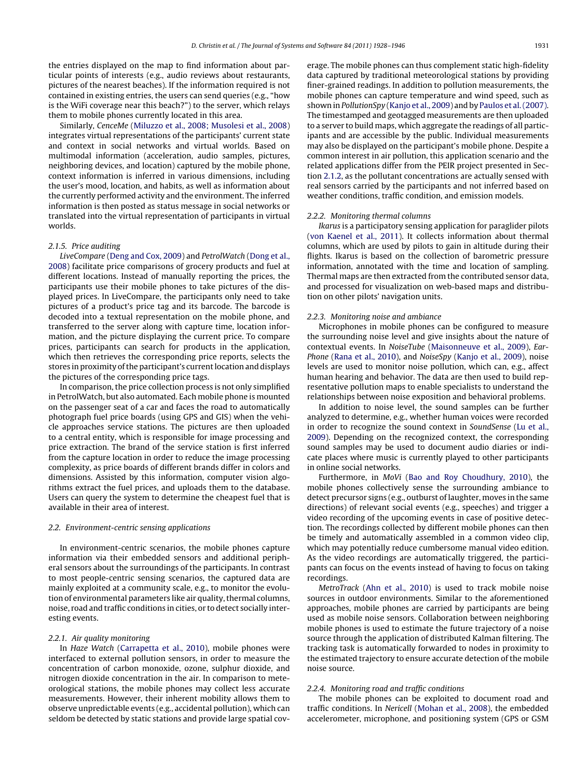the entries displayed on the map to find information about particular points of interests (e.g., audio reviews about restaurants, pictures of the nearest beaches). If the information required is not contained in existing entries, the users can send queries (e.g., "how is the WiFi coverage near this beach?") to the server, which relays them to mobile phones currently located in this area.

Similarly, CenceMe ([Miluzzo](#page-17-0) et [al.,](#page-17-0) [2008;](#page-17-0) [Musolesi](#page-17-0) et [al.,](#page-17-0) [2008\)](#page-17-0) integrates virtual representations of the participants' current state and context in social networks and virtual worlds. Based on multimodal information (acceleration, audio samples, pictures, neighboring devices, and location) captured by the mobile phone, context information is inferred in various dimensions, including the user's mood, location, and habits, as well as information about the currently performed activity and the environment. The inferred information is then posted as status message in social networks or translated into the virtual representation of participants in virtual worlds.

#### 2.1.5. Price auditing

LiveCompare ([Deng](#page-16-0) [and](#page-16-0) [Cox,](#page-16-0) [2009\)](#page-16-0) and PetrolWatch ([Dong](#page-16-0) et [al.,](#page-16-0) [2008\)](#page-16-0) facilitate price comparisons of grocery products and fuel at different locations. Instead of manually reporting the prices, the participants use their mobile phones to take pictures of the displayed prices. In LiveCompare, the participants only need to take pictures of a product's price tag and its barcode. The barcode is decoded into a textual representation on the mobile phone, and transferred to the server along with capture time, location information, and the picture displaying the current price. To compare prices, participants can search for products in the application, which then retrieves the corresponding price reports, selects the stores in proximity of the participant's current location and displays the pictures of the corresponding price tags.

In comparison, the price collection process is not only simplified in PetrolWatch, but also automated. Each mobile phone is mounted on the passenger seat of a car and faces the road to automatically photograph fuel price boards (using GPS and GIS) when the vehicle approaches service stations. The pictures are then uploaded to a central entity, which is responsible for image processing and price extraction. The brand of the service station is first inferred from the capture location in order to reduce the image processing complexity, as price boards of different brands differ in colors and dimensions. Assisted by this information, computer vision algorithms extract the fuel prices, and uploads them to the database. Users can query the system to determine the cheapest fuel that is available in their area of interest.

#### 2.2. Environment-centric sensing applications

In environment-centric scenarios, the mobile phones capture information via their embedded sensors and additional peripheral sensors about the surroundings of the participants. In contrast to most people-centric sensing scenarios, the captured data are mainly exploited at a community scale, e.g., to monitor the evolution of environmental parameters like air quality, thermal columns, noise, road and traffic conditions in cities, or to detect socially interesting events.

#### 2.2.1. Air quality monitoring

In Haze Watch ([Carrapetta](#page-16-0) et [al.,](#page-16-0) [2010\),](#page-16-0) mobile phones were interfaced to external pollution sensors, in order to measure the concentration of carbon monoxide, ozone, sulphur dioxide, and nitrogen dioxide concentration in the air. In comparison to meteorological stations, the mobile phones may collect less accurate measurements. However, their inherent mobility allows them to observe unpredictable events (e.g., accidental pollution), which can seldom be detected by static stations and provide large spatial coverage. The mobile phones can thus complement static high-fidelity data captured by traditional meteorological stations by providing finer-grained readings. In addition to pollution measurements, the mobile phones can capture temperature and wind speed, such as shown in PollutionSpy [\(Kanjo](#page-17-0) et [al.,](#page-17-0) [2009\)](#page-17-0) and by [Paulos](#page-17-0) et [al.\(2007\).](#page-17-0) The timestamped and geotagged measurements are then uploaded to a server to build maps, which aggregate the readings of all participants and are accessible by the public. Individual measurements may also be displayed on the participant's mobile phone. Despite a common interest in air pollution, this application scenario and the related applications differ from the PEIR project presented in Section [2.1.2,](#page-2-0) as the pollutant concentrations are actually sensed with real sensors carried by the participants and not inferred based on weather conditions, traffic condition, and emission models.

#### 2.2.2. Monitoring thermal columns

Ikarus is a participatory sensing application for paraglider pilots [\(von](#page-17-0) [Kaenel](#page-17-0) et [al.,](#page-17-0) [2011\).](#page-17-0) It collects information about thermal columns, which are used by pilots to gain in altitude during their flights. Ikarus is based on the collection of barometric pressure information, annotated with the time and location of sampling. Thermal maps are then extracted from the contributed sensor data, and processed for visualization on web-based maps and distribution on other pilots' navigation units.

# 2.2.3. Monitoring noise and ambiance

Microphones in mobile phones can be configured to measure the surrounding noise level and give insights about the nature of contextual events. In NoiseTube ([Maisonneuve](#page-17-0) et [al.,](#page-17-0) [2009\),](#page-17-0) Ear-Phone ([Rana](#page-17-0) et [al.,](#page-17-0) [2010\),](#page-17-0) and NoiseSpy [\(Kanjo](#page-17-0) [et](#page-17-0) al., [2009\),](#page-17-0) noise levels are used to monitor noise pollution, which can, e.g., affect human hearing and behavior. The data are then used to build representative pollution maps to enable specialists to understand the relationships between noise exposition and behavioral problems.

In addition to noise level, the sound samples can be further analyzed to determine, e.g., whether human voices were recorded in order to recognize the sound context in SoundSense ([Lu](#page-17-0) et [al.,](#page-17-0) [2009\).](#page-17-0) Depending on the recognized context, the corresponding sound samples may be used to document audio diaries or indicate places where music is currently played to other participants in online social networks.

Furthermore, in MoVi [\(Bao](#page-16-0) [and](#page-16-0) [Roy](#page-16-0) [Choudhury,](#page-16-0) [2010\),](#page-16-0) the mobile phones collectively sense the surrounding ambiance to detect precursor signs (e.g., outburst of laughter, moves in the same directions) of relevant social events (e.g., speeches) and trigger a video recording of the upcoming events in case of positive detection. The recordings collected by different mobile phones can then be timely and automatically assembled in a common video clip, which may potentially reduce cumbersome manual video edition. As the video recordings are automatically triggered, the participants can focus on the events instead of having to focus on taking recordings.

MetroTrack ([Ahn](#page-16-0) et [al.,](#page-16-0) [2010\)](#page-16-0) is used to track mobile noise sources in outdoor environments. Similar to the aforementioned approaches, mobile phones are carried by participants are being used as mobile noise sensors. Collaboration between neighboring mobile phones is used to estimate the future trajectory of a noise source through the application of distributed Kalman filtering. The tracking task is automatically forwarded to nodes in proximity to the estimated trajectory to ensure accurate detection of the mobile noise source.

#### 2.2.4. Monitoring road and traffic conditions

The mobile phones can be exploited to document road and traffic conditions. In Nericell [\(Mohan](#page-17-0) et [al.,](#page-17-0) [2008\),](#page-17-0) the embedded accelerometer, microphone, and positioning system (GPS or GSM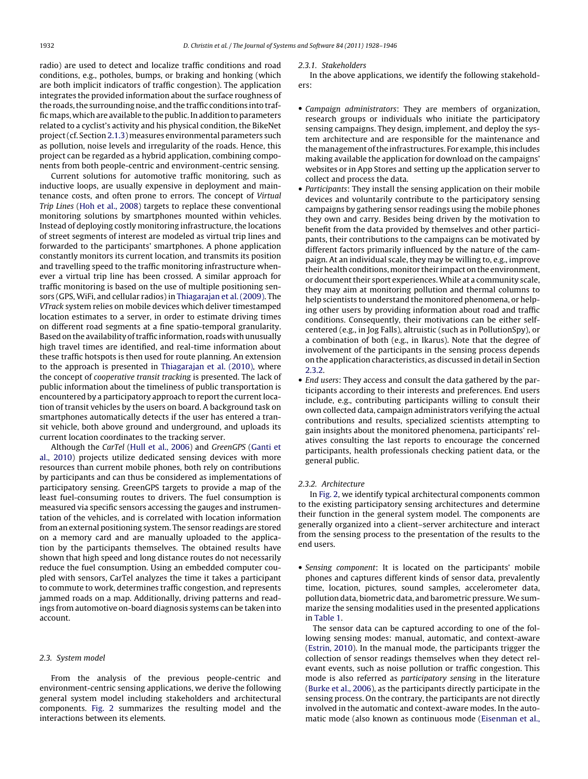<span id="page-4-0"></span>radio) are used to detect and localize traffic conditions and road conditions, e.g., potholes, bumps, or braking and honking (which are both implicit indicators of traffic congestion). The application integrates the provided information about the surface roughness of the roads, the surrounding noise, and the traffic conditions into traffic maps, which are available to the public. In addition to parameters related to a cyclist's activity and his physical condition, the BikeNet project(cf. Section [2.1.3\)](#page-2-0) measures environmental parameters such as pollution, noise levels and irregularity of the roads. Hence, this project can be regarded as a hybrid application, combining components from both people-centric and environment-centric sensing.

Current solutions for automotive traffic monitoring, such as inductive loops, are usually expensive in deployment and maintenance costs, and often prone to errors. The concept of Virtual Trip Lines [\(Hoh](#page-16-0) et [al.,](#page-16-0) [2008\)](#page-16-0) targets to replace these conventional monitoring solutions by smartphones mounted within vehicles. Instead of deploying costly monitoring infrastructure, the locations of street segments of interest are modeled as virtual trip lines and forwarded to the participants' smartphones. A phone application constantly monitors its current location, and transmits its position and travelling speed to the traffic monitoring infrastructure whenever a virtual trip line has been crossed. A similar approach for traffic monitoring is based on the use of multiple positioning sensors (GPS, WiFi, and cellular radios) in [Thiagarajan](#page-17-0) et [al.](#page-17-0) [\(2009\).](#page-17-0) The VTrack system relies on mobile devices which deliver timestamped location estimates to a server, in order to estimate driving times on different road segments at a fine spatio-temporal granularity. Based on the availability of traffic information, roads with unusually high travel times are identified, and real-time information about these traffic hotspots is then used for route planning. An extension to the approach is presented in [Thiagarajan](#page-17-0) et [al.](#page-17-0) [\(2010\),](#page-17-0) where the concept of cooperative transit tracking is presented. The lack of public information about the timeliness of public transportation is encountered by a participatory approach to report the current location of transit vehicles by the users on board. A background task on smartphones automatically detects if the user has entered a transit vehicle, both above ground and underground, and uploads its current location coordinates to the tracking server.

Although the CarTel [\(Hull](#page-17-0) et [al.,](#page-17-0) [2006\)](#page-17-0) and GreenGPS [\(Ganti](#page-16-0) [et](#page-16-0) [al.,](#page-16-0) [2010\)](#page-16-0) projects utilize dedicated sensing devices with more resources than current mobile phones, both rely on contributions by participants and can thus be considered as implementations of participatory sensing. GreenGPS targets to provide a map of the least fuel-consuming routes to drivers. The fuel consumption is measured via specific sensors accessing the gauges and instrumentation of the vehicles, and is correlated with location information from an external positioning system. The sensor readings are stored on a memory card and are manually uploaded to the application by the participants themselves. The obtained results have shown that high speed and long distance routes do not necessarily reduce the fuel consumption. Using an embedded computer coupled with sensors, CarTel analyzes the time it takes a participant to commute to work, determines traffic congestion, and represents jammed roads on a map. Additionally, driving patterns and readings from automotive on-board diagnosis systems can be taken into account.

#### 2.3. System model

From the analysis of the previous people-centric and environment-centric sensing applications, we derive the following general system model including stakeholders and architectural components. [Fig.](#page-5-0) 2 summarizes the resulting model and the interactions between its elements.

#### 2.3.1. Stakeholders

In the above applications, we identify the following stakeholders:

- Campaign administrators: They are members of organization, research groups or individuals who initiate the participatory sensing campaigns. They design, implement, and deploy the system architecture and are responsible for the maintenance and the management of the infrastructures. For example, this includes making available the application for download on the campaigns' websites or in App Stores and setting up the application server to collect and process the data.
- Participants: They install the sensing application on their mobile devices and voluntarily contribute to the participatory sensing campaigns by gathering sensor readings using the mobile phones they own and carry. Besides being driven by the motivation to benefit from the data provided by themselves and other participants, their contributions to the campaigns can be motivated by different factors primarily influenced by the nature of the campaign. At an individual scale, they may be willing to, e.g., improve their health conditions, monitor their impact on the environment, or document their sport experiences. While at a community scale, they may aim at monitoring pollution and thermal columns to help scientists to understand the monitored phenomena, or helping other users by providing information about road and traffic conditions. Consequently, their motivations can be either selfcentered (e.g., in Jog Falls), altruistic (such as in PollutionSpy), or a combination of both (e.g., in Ikarus). Note that the degree of involvement of the participants in the sensing process depends on the application characteristics, as discussed in detail in Section 2.3.2.
- End users: They access and consult the data gathered by the participants according to their interests and preferences. End users include, e.g., contributing participants willing to consult their own collected data, campaign administrators verifying the actual contributions and results, specialized scientists attempting to gain insights about the monitored phenomena, participants' relatives consulting the last reports to encourage the concerned participants, health professionals checking patient data, or the general public.

#### 2.3.2. Architecture

In [Fig.](#page-5-0) 2, we identify typical architectural components common to the existing participatory sensing architectures and determine their function in the general system model. The components are generally organized into a client–server architecture and interact from the sensing process to the presentation of the results to the end users.

• Sensing component: It is located on the participants' mobile phones and captures different kinds of sensor data, prevalently time, location, pictures, sound samples, accelerometer data, pollution data, biometric data, and barometric pressure.We summarize the sensing modalities used in the presented applications in [Table](#page-6-0) 1.

The sensor data can be captured according to one of the following sensing modes: manual, automatic, and context-aware ([Estrin,](#page-16-0) [2010\).](#page-16-0) In the manual mode, the participants trigger the collection of sensor readings themselves when they detect relevant events, such as noise pollution or traffic congestion. This mode is also referred as participatory sensing in the literature ([Burke](#page-16-0) et [al.,](#page-16-0) [2006\),](#page-16-0) as the participants directly participate in the sensing process. On the contrary, the participants are not directly involved in the automatic and context-aware modes. In the automatic mode (also known as continuous mode ([Eisenman](#page-16-0) et [al.,](#page-16-0)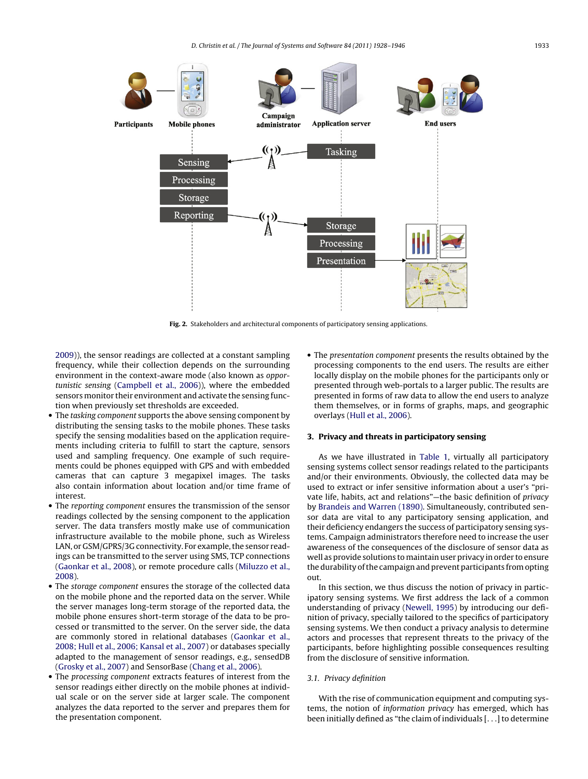<span id="page-5-0"></span>

**Fig. 2.** Stakeholders and architectural components of participatory sensing applications.

[2009\)\)](#page-16-0), the sensor readings are collected at a constant sampling frequency, while their collection depends on the surrounding environment in the context-aware mode (also known as opportunistic sensing ([Campbell](#page-16-0) et [al.,](#page-16-0) [2006\)\)](#page-16-0), where the embedded sensors monitor their environment and activate the sensing function when previously set thresholds are exceeded.

- The tasking component supports the above sensing component by distributing the sensing tasks to the mobile phones. These tasks specify the sensing modalities based on the application requirements including criteria to fulfill to start the capture, sensors used and sampling frequency. One example of such requirements could be phones equipped with GPS and with embedded cameras that can capture 3 megapixel images. The tasks also contain information about location and/or time frame of interest.
- The reporting component ensures the transmission of the sensor readings collected by the sensing component to the application server. The data transfers mostly make use of communication infrastructure available to the mobile phone, such as Wireless LAN, or GSM/GPRS/3G connectivity. For example, the sensor readings can be transmitted to the server using SMS, TCP connections [\(Gaonkar](#page-16-0) et [al.,](#page-16-0) [2008\),](#page-16-0) or remote procedure calls [\(Miluzzo](#page-17-0) et [al.,](#page-17-0) [2008\).](#page-17-0)
- The storage component ensures the storage of the collected data on the mobile phone and the reported data on the server. While the server manages long-term storage of the reported data, the mobile phone ensures short-term storage of the data to be processed or transmitted to the server. On the server side, the data are commonly stored in relational databases [\(Gaonkar](#page-16-0) et [al.,](#page-16-0) [2008;](#page-16-0) [Hull](#page-16-0) et [al.,](#page-16-0) [2006;](#page-16-0) [Kansal](#page-16-0) et [al.,](#page-16-0) [2007\)](#page-16-0) or databases specially adapted to the management of sensor readings, e.g., sensedDB [\(Grosky](#page-16-0) et [al.,](#page-16-0) [2007\)](#page-16-0) and SensorBase [\(Chang](#page-16-0) et [al.,](#page-16-0) [2006\).](#page-16-0)
- The processing component extracts features of interest from the sensor readings either directly on the mobile phones at individual scale or on the server side at larger scale. The component analyzes the data reported to the server and prepares them for the presentation component.

• The presentation component presents the results obtained by the processing components to the end users. The results are either locally display on the mobile phones for the participants only or presented through web-portals to a larger public. The results are presented in forms of raw data to allow the end users to analyze them themselves, or in forms of graphs, maps, and geographic overlays ([Hull](#page-17-0) et [al.,](#page-17-0) [2006\).](#page-17-0)

# **3. Privacy and threats in participatory sensing**

As we have illustrated in [Table](#page-6-0) 1, virtually all participatory sensing systems collect sensor readings related to the participants and/or their environments. Obviously, the collected data may be used to extract or infer sensitive information about a user's "private life, habits, act and relations"—the basic definition of privacy by [Brandeis](#page-16-0) [and](#page-16-0) [Warren](#page-16-0) [\(1890\).](#page-16-0) Simultaneously, contributed sensor data are vital to any participatory sensing application, and their deficiency endangers the success of participatory sensing systems. Campaign administrators therefore need to increase the user awareness of the consequences of the disclosure of sensor data as well as provide solutions to maintain user privacy in order to ensure the durability of the campaign and prevent participants from opting out.

In this section, we thus discuss the notion of privacy in participatory sensing systems. We first address the lack of a common understanding of privacy ([Newell,](#page-17-0) [1995\)](#page-17-0) by introducing our definition of privacy, specially tailored to the specifics of participatory sensing systems. We then conduct a privacy analysis to determine actors and processes that represent threats to the privacy of the participants, before highlighting possible consequences resulting from the disclosure of sensitive information.

# 3.1. Privacy definition

With the rise of communication equipment and computing systems, the notion of information privacy has emerged, which has been initially defined as "the claim of individuals [. . .] to determine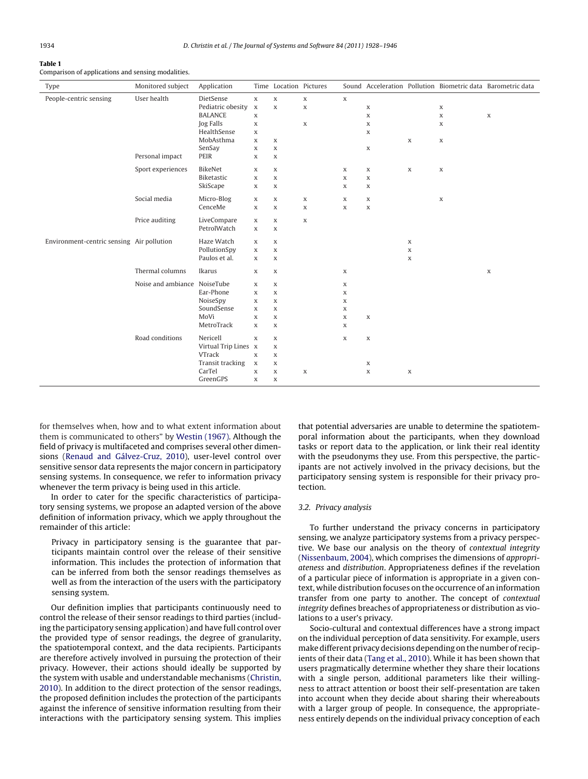# <span id="page-6-0"></span>**Table 1**

Comparison of applications and sensing modalities.

| Type                                      | Monitored subject            | Application          |             | Time Location Pictures |             |             |             |             |   | Sound Acceleration Pollution Biometric data Barometric data |
|-------------------------------------------|------------------------------|----------------------|-------------|------------------------|-------------|-------------|-------------|-------------|---|-------------------------------------------------------------|
| People-centric sensing                    | User health                  | DietSense            | $\mathbf x$ | $\mathbf X$            | $\mathbf x$ | $\mathbf x$ |             |             |   |                                                             |
|                                           |                              | Pediatric obesity    | $\mathbf x$ | $\mathbf X$            | $\mathbf x$ |             | X           |             | X |                                                             |
|                                           |                              | <b>BALANCE</b>       | X           |                        |             |             | X           |             | X | X                                                           |
|                                           |                              | Jog Falls            | $\mathbf x$ |                        | $\mathbf x$ |             | $\mathbf x$ |             | X |                                                             |
|                                           |                              | HealthSense          | X           |                        |             |             | X           |             |   |                                                             |
|                                           |                              | MobAsthma            | $\mathbf x$ | X                      |             |             |             | X           | X |                                                             |
|                                           |                              | SenSay               | $\mathbf x$ | $\mathbf X$            |             |             | X           |             |   |                                                             |
|                                           | Personal impact              | PEIR                 | $\mathbf x$ | X                      |             |             |             |             |   |                                                             |
|                                           | Sport experiences            | BikeNet              | X           | X                      |             | X           | X           | X           | X |                                                             |
|                                           |                              | Biketastic           | X           | X                      |             | X           | X           |             |   |                                                             |
|                                           |                              | SkiScape             | $\mathbf x$ | X                      |             | X           | X           |             |   |                                                             |
|                                           | Social media                 | Micro-Blog           | $\mathbf x$ | X                      | X           | X           | X           |             | X |                                                             |
|                                           |                              | CenceMe              | $\mathbf x$ | $\mathbf X$            | $\mathbf x$ | $\mathbf x$ | $\mathbf x$ |             |   |                                                             |
|                                           | Price auditing               | LiveCompare          | $\mathbf x$ | $\mathbf x$            | X           |             |             |             |   |                                                             |
|                                           |                              | PetrolWatch          | X           | X                      |             |             |             |             |   |                                                             |
| Environment-centric sensing Air pollution |                              | Haze Watch           | $\mathbf x$ | X                      |             |             |             | $\mathbf x$ |   |                                                             |
|                                           |                              | PollutionSpy         | $\mathbf x$ | $\mathbf X$            |             |             |             | $\mathbf x$ |   |                                                             |
|                                           |                              | Paulos et al.        | $\mathbf x$ | X                      |             |             |             | $\mathbf x$ |   |                                                             |
|                                           | Thermal columns              | Ikarus               | $\mathbf x$ | X                      |             | X           |             |             |   | $\mathbf X$                                                 |
|                                           | Noise and ambiance NoiseTube |                      | X           | X                      |             | X           |             |             |   |                                                             |
|                                           |                              | Ear-Phone            | X           | X                      |             | X           |             |             |   |                                                             |
|                                           |                              | NoiseSpy             | X           | $\mathbf X$            |             | $\mathbf x$ |             |             |   |                                                             |
|                                           |                              | SoundSense           | X           | $\mathbf X$            |             | X           |             |             |   |                                                             |
|                                           |                              | MoVi                 | X           | $\mathbf X$            |             | $\mathbf x$ | X           |             |   |                                                             |
|                                           |                              | MetroTrack           | X           | $\mathbf X$            |             | $\mathbf x$ |             |             |   |                                                             |
|                                           | Road conditions              | Nericell             | $\mathbf x$ | $\mathbf x$            |             | X           | X           |             |   |                                                             |
|                                           |                              | Virtual Trip Lines x |             | X                      |             |             |             |             |   |                                                             |
|                                           |                              | VTrack               | X           | X                      |             |             |             |             |   |                                                             |
|                                           |                              | Transit tracking     | $\mathbf x$ | X                      |             |             | X           |             |   |                                                             |
|                                           |                              | CarTel               | X           | $\mathbf X$            | $\mathbf x$ |             | $\mathbf x$ | $\mathbf x$ |   |                                                             |
|                                           |                              | GreenGPS             | X           | X                      |             |             |             |             |   |                                                             |

for themselves when, how and to what extent information about them is communicated to others" by [Westin](#page-17-0) [\(1967\).](#page-17-0) Although the field of privacy is multifaceted and comprises several other dimensions ([Renaud](#page-17-0) [and](#page-17-0) [Gálvez-Cruz,](#page-17-0) [2010\),](#page-17-0) user-level control over sensitive sensor data represents the major concern in participatory sensing systems. In consequence, we refer to information privacy whenever the term privacy is being used in this article.

In order to cater for the specific characteristics of participatory sensing systems, we propose an adapted version of the above definition of information privacy, which we apply throughout the remainder of this article:

Privacy in participatory sensing is the guarantee that participants maintain control over the release of their sensitive information. This includes the protection of information that can be inferred from both the sensor readings themselves as well as from the interaction of the users with the participatory sensing system.

Our definition implies that participants continuously need to control the release of their sensor readings to third parties (including the participatory sensing application) and have full control over the provided type of sensor readings, the degree of granularity, the spatiotemporal context, and the data recipients. Participants are therefore actively involved in pursuing the protection of their privacy. However, their actions should ideally be supported by the system with usable and understandable mechanisms [\(Christin,](#page-16-0) [2010\).](#page-16-0) In addition to the direct protection of the sensor readings, the proposed definition includes the protection of the participants against the inference of sensitive information resulting from their interactions with the participatory sensing system. This implies that potential adversaries are unable to determine the spatiotemporal information about the participants, when they download tasks or report data to the application, or link their real identity with the pseudonyms they use. From this perspective, the participants are not actively involved in the privacy decisions, but the participatory sensing system is responsible for their privacy protection.

#### 3.2. Privacy analysis

To further understand the privacy concerns in participatory sensing, we analyze participatory systems from a privacy perspective. We base our analysis on the theory of contextual integrity [\(Nissenbaum,](#page-17-0) [2004\),](#page-17-0) which comprises the dimensions of appropriateness and distribution. Appropriateness defines if the revelation of a particular piece of information is appropriate in a given context, while distribution focuses on the occurrence of an information transfer from one party to another. The concept of contextual integrity defines breaches of appropriateness or distribution as violations to a user's privacy.

Socio-cultural and contextual differences have a strong impact on the individual perception of data sensitivity. For example, users make different privacy decisions depending on the number of recipients of their data [\(Tang](#page-17-0) et [al.,](#page-17-0) [2010\).](#page-17-0) While it has been shown that users pragmatically determine whether they share their locations with a single person, additional parameters like their willingness to attract attention or boost their self-presentation are taken into account when they decide about sharing their whereabouts with a larger group of people. In consequence, the appropriateness entirely depends on the individual privacy conception of each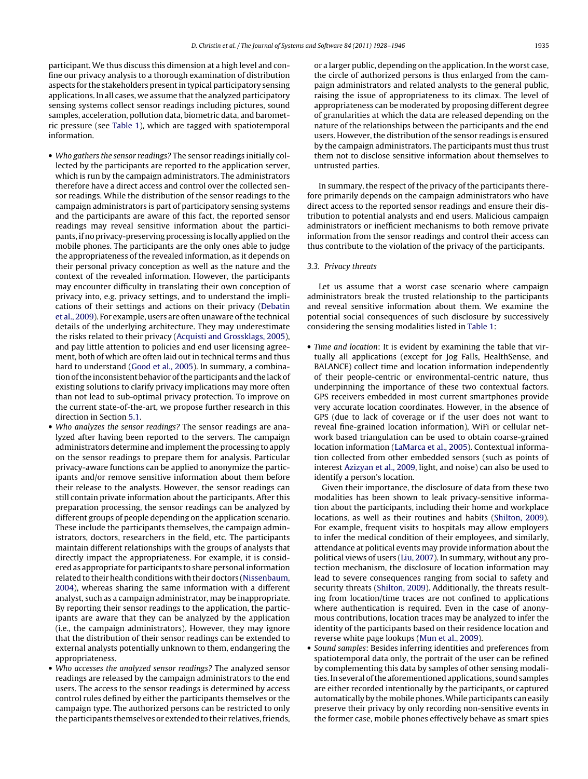participant. We thus discuss this dimension at a high level and confine our privacy analysis to a thorough examination of distribution aspects for the stakeholders presentin typical participatory sensing applications. In all cases, we assume that the analyzed participatory sensing systems collect sensor readings including pictures, sound samples, acceleration, pollution data, biometric data, and barometric pressure (see [Table](#page-6-0) 1), which are tagged with spatiotemporal information.

- Who gathers the sensor readings? The sensor readings initially collected by the participants are reported to the application server, which is run by the campaign administrators. The administrators therefore have a direct access and control over the collected sensor readings. While the distribution of the sensor readings to the campaign administrators is part of participatory sensing systems and the participants are aware of this fact, the reported sensor readings may reveal sensitive information about the participants, if no privacy-preserving processing is locally applied on the mobile phones. The participants are the only ones able to judge the appropriateness of the revealed information, as it depends on their personal privacy conception as well as the nature and the context of the revealed information. However, the participants may encounter difficulty in translating their own conception of privacy into, e.g. privacy settings, and to understand the implications of their settings and actions on their privacy [\(Debatin](#page-16-0) et [al.,](#page-16-0) [2009\).](#page-16-0) For example, users are often unaware ofthe technical details of the underlying architecture. They may underestimate the risks related to their privacy [\(Acquisti](#page-16-0) [and](#page-16-0) [Grossklags,](#page-16-0) [2005\),](#page-16-0) and pay little attention to policies and end user licensing agreement, both of which are often laid out in technical terms and thus hard to understand [\(Good](#page-16-0) et [al.,](#page-16-0) [2005\).](#page-16-0) In summary, a combination of the inconsistent behavior of the participants and the lack of existing solutions to clarify privacy implications may more often than not lead to sub-optimal privacy protection. To improve on the current state-of-the-art, we propose further research in this direction in Section [5.1.](#page-14-0)
- Who analyzes the sensor readings? The sensor readings are analyzed after having been reported to the servers. The campaign administrators determine and implement the processing to apply on the sensor readings to prepare them for analysis. Particular privacy-aware functions can be applied to anonymize the participants and/or remove sensitive information about them before their release to the analysts. However, the sensor readings can still contain private information about the participants. After this preparation processing, the sensor readings can be analyzed by different groups of people depending on the application scenario. These include the participants themselves, the campaign administrators, doctors, researchers in the field, etc. The participants maintain different relationships with the groups of analysts that directly impact the appropriateness. For example, it is considered as appropriate for participants to share personal information related to their health conditions with their doctors [\(Nissenbaum,](#page-17-0) [2004\),](#page-17-0) whereas sharing the same information with a different analyst, such as a campaign administrator, may be inappropriate. By reporting their sensor readings to the application, the participants are aware that they can be analyzed by the application (i.e., the campaign administrators). However, they may ignore that the distribution of their sensor readings can be extended to external analysts potentially unknown to them, endangering the appropriateness.
- Who accesses the analyzed sensor readings? The analyzed sensor readings are released by the campaign administrators to the end users. The access to the sensor readings is determined by access control rules defined by either the participants themselves or the campaign type. The authorized persons can be restricted to only the participants themselves or extended to their relatives, friends,

or a larger public, depending on the application. In the worst case, the circle of authorized persons is thus enlarged from the campaign administrators and related analysts to the general public, raising the issue of appropriateness to its climax. The level of appropriateness can be moderated by proposing different degree of granularities at which the data are released depending on the nature of the relationships between the participants and the end users. However, the distribution of the sensor readings is ensured by the campaign administrators. The participants must thus trust them not to disclose sensitive information about themselves to untrusted parties.

In summary, the respect of the privacy of the participants therefore primarily depends on the campaign administrators who have direct access to the reported sensor readings and ensure their distribution to potential analysts and end users. Malicious campaign administrators or inefficient mechanisms to both remove private information from the sensor readings and control their access can thus contribute to the violation of the privacy of the participants.

# 3.3. Privacy threats

Let us assume that a worst case scenario where campaign administrators break the trusted relationship to the participants and reveal sensitive information about them. We examine the potential social consequences of such disclosure by successively considering the sensing modalities listed in [Table](#page-6-0) 1:

• Time and location: It is evident by examining the table that virtually all applications (except for Jog Falls, HealthSense, and BALANCE) collect time and location information independently of their people-centric or environmental-centric nature, thus underpinning the importance of these two contextual factors. GPS receivers embedded in most current smartphones provide very accurate location coordinates. However, in the absence of GPS (due to lack of coverage or if the user does not want to reveal fine-grained location information), WiFi or cellular network based triangulation can be used to obtain coarse-grained location information [\(LaMarca](#page-17-0) et [al.,](#page-17-0) [2005\).](#page-17-0) Contextual information collected from other embedded sensors (such as points of interest [Azizyan](#page-16-0) et [al.,](#page-16-0) [2009,](#page-16-0) light, and noise) can also be used to identify a person's location.

Given their importance, the disclosure of data from these two modalities has been shown to leak privacy-sensitive information about the participants, including their home and workplace locations, as well as their routines and habits [\(Shilton,](#page-17-0) [2009\).](#page-17-0) For example, frequent visits to hospitals may allow employers to infer the medical condition of their employees, and similarly, attendance at political events may provide information about the political views of users ([Liu,](#page-17-0) [2007\).](#page-17-0) In summary, without any protection mechanism, the disclosure of location information may lead to severe consequences ranging from social to safety and security threats [\(Shilton,](#page-17-0) [2009\).](#page-17-0) Additionally, the threats resulting from location/time traces are not confined to applications where authentication is required. Even in the case of anonymous contributions, location traces may be analyzed to infer the identity of the participants based on their residence location and reverse white page lookups [\(Mun](#page-17-0) [et](#page-17-0) [al.,](#page-17-0) [2009\).](#page-17-0)

• Sound samples: Besides inferring identities and preferences from spatiotemporal data only, the portrait of the user can be refined by complementing this data by samples of other sensing modalities. In several of the aforementioned applications, sound samples are either recorded intentionally by the participants, or captured automatically by the mobile phones. While participants can easily preserve their privacy by only recording non-sensitive events in the former case, mobile phones effectively behave as smart spies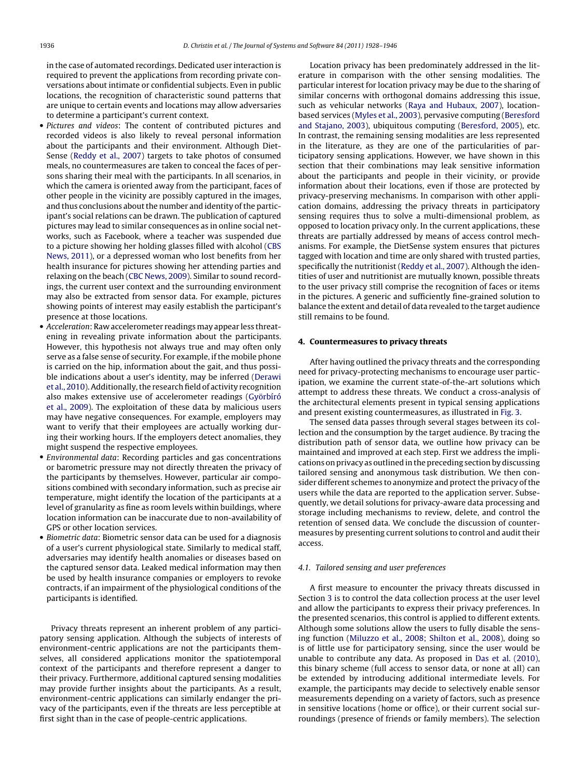<span id="page-8-0"></span>in the case of automated recordings. Dedicated user interaction is required to prevent the applications from recording private conversations about intimate or confidential subjects. Even in public locations, the recognition of characteristic sound patterns that are unique to certain events and locations may allow adversaries to determine a participant's current context.

- Pictures and videos: The content of contributed pictures and recorded videos is also likely to reveal personal information about the participants and their environment. Although Diet-Sense [\(Reddy](#page-17-0) et [al.,](#page-17-0) [2007\)](#page-17-0) targets to take photos of consumed meals, no countermeasures are taken to conceal the faces of persons sharing their meal with the participants. In all scenarios, in which the camera is oriented away from the participant, faces of other people in the vicinity are possibly captured in the images, and thus conclusions about the number and identity of the participant's social relations can be drawn. The publication of captured pictures may lead to similar consequences as in online social networks, such as Facebook, where a teacher was suspended due to a picture showing her holding glasses filled with alcohol ([CBS](#page-16-0) [News,](#page-16-0) [2011\),](#page-16-0) or a depressed woman who lost benefits from her health insurance for pictures showing her attending parties and relaxing on the beach [\(CBC](#page-16-0) [News,](#page-16-0) [2009\).](#page-16-0) Similar to sound recordings, the current user context and the surrounding environment may also be extracted from sensor data. For example, pictures showing points of interest may easily establish the participant's presence at those locations.
- Acceleration: Raw accelerometer readings may appear less threatening in revealing private information about the participants. However, this hypothesis not always true and may often only serve as a false sense of security. For example, if the mobile phone is carried on the hip, information about the gait, and thus possible indications about a user's identity, may be inferred ([Derawi](#page-16-0) et [al.,](#page-16-0) [2010\).](#page-16-0) Additionally, the research field of activity recognition also makes extensive use of accelerometer readings [\(Györbíró](#page-16-0) et [al.,](#page-16-0) [2009\).](#page-16-0) The exploitation of these data by malicious users may have negative consequences. For example, employers may want to verify that their employees are actually working during their working hours. If the employers detect anomalies, they might suspend the respective employees.
- Environmental data: Recording particles and gas concentrations or barometric pressure may not directly threaten the privacy of the participants by themselves. However, particular air compositions combined with secondary information, such as precise air temperature, might identify the location of the participants at a level of granularity as fine as room levels within buildings, where location information can be inaccurate due to non-availability of GPS or other location services.
- Biometric data: Biometric sensor data can be used for a diagnosis of a user's current physiological state. Similarly to medical staff, adversaries may identify health anomalies or diseases based on the captured sensor data. Leaked medical information may then be used by health insurance companies or employers to revoke contracts, if an impairment of the physiological conditions of the participants is identified.

Privacy threats represent an inherent problem of any participatory sensing application. Although the subjects of interests of environment-centric applications are not the participants themselves, all considered applications monitor the spatiotemporal context of the participants and therefore represent a danger to their privacy. Furthermore, additional captured sensing modalities may provide further insights about the participants. As a result, environment-centric applications can similarly endanger the privacy of the participants, even if the threats are less perceptible at first sight than in the case of people-centric applications.

Location privacy has been predominately addressed in the literature in comparison with the other sensing modalities. The particular interest for location privacy may be due to the sharing of similar concerns with orthogonal domains addressing this issue, such as vehicular networks ([Raya](#page-17-0) [and](#page-17-0) [Hubaux,](#page-17-0) [2007\),](#page-17-0) locationbased services [\(Myles](#page-17-0) et [al.,](#page-17-0) [2003\),](#page-17-0) pervasive computing [\(Beresford](#page-16-0) [and](#page-16-0) [Stajano,](#page-16-0) [2003\),](#page-16-0) ubiquitous computing ([Beresford,](#page-16-0) [2005\),](#page-16-0) etc. In contrast, the remaining sensing modalities are less represented in the literature, as they are one of the particularities of participatory sensing applications. However, we have shown in this section that their combinations may leak sensitive information about the participants and people in their vicinity, or provide information about their locations, even if those are protected by privacy-preserving mechanisms. In comparison with other application domains, addressing the privacy threats in participatory sensing requires thus to solve a multi-dimensional problem, as opposed to location privacy only. In the current applications, these threats are partially addressed by means of access control mechanisms. For example, the DietSense system ensures that pictures tagged with location and time are only shared with trusted parties, specifically the nutritionist [\(Reddy](#page-17-0) [et](#page-17-0) [al.,](#page-17-0) [2007\).](#page-17-0) Although the identities of user and nutritionist are mutually known, possible threats to the user privacy still comprise the recognition of faces or items in the pictures. A generic and sufficiently fine-grained solution to balance the extent and detail of data revealed to the target audience still remains to be found.

#### **4. Countermeasures to privacy threats**

After having outlined the privacy threats and the corresponding need for privacy-protecting mechanisms to encourage user participation, we examine the current state-of-the-art solutions which attempt to address these threats. We conduct a cross-analysis of the architectural elements present in typical sensing applications and present existing countermeasures, as illustrated in [Fig.](#page-9-0) 3.

The sensed data passes through several stages between its collection and the consumption by the target audience. By tracing the distribution path of sensor data, we outline how privacy can be maintained and improved at each step. First we address the implications on privacy as outlined in the preceding section by discussing tailored sensing and anonymous task distribution. We then consider different schemes to anonymize and protect the privacy of the users while the data are reported to the application server. Subsequently, we detail solutions for privacy-aware data processing and storage including mechanisms to review, delete, and control the retention of sensed data. We conclude the discussion of countermeasures by presenting current solutions to control and audit their access.

#### 4.1. Tailored sensing and user preferences

A first measure to encounter the privacy threats discussed in Section [3](#page-5-0) is to control the data collection process at the user level and allow the participants to express their privacy preferences. In the presented scenarios, this control is applied to different extents. Although some solutions allow the users to fully disable the sensing function ([Miluzzo](#page-17-0) et [al.,](#page-17-0) [2008;](#page-17-0) [Shilton](#page-17-0) et [al.,](#page-17-0) [2008\),](#page-17-0) doing so is of little use for participatory sensing, since the user would be unable to contribute any data. As proposed in [Das](#page-16-0) et [al.](#page-16-0) [\(2010\),](#page-16-0) this binary scheme (full access to sensor data, or none at all) can be extended by introducing additional intermediate levels. For example, the participants may decide to selectively enable sensor measurements depending on a variety of factors, such as presence in sensitive locations (home or office), or their current social surroundings (presence of friends or family members). The selection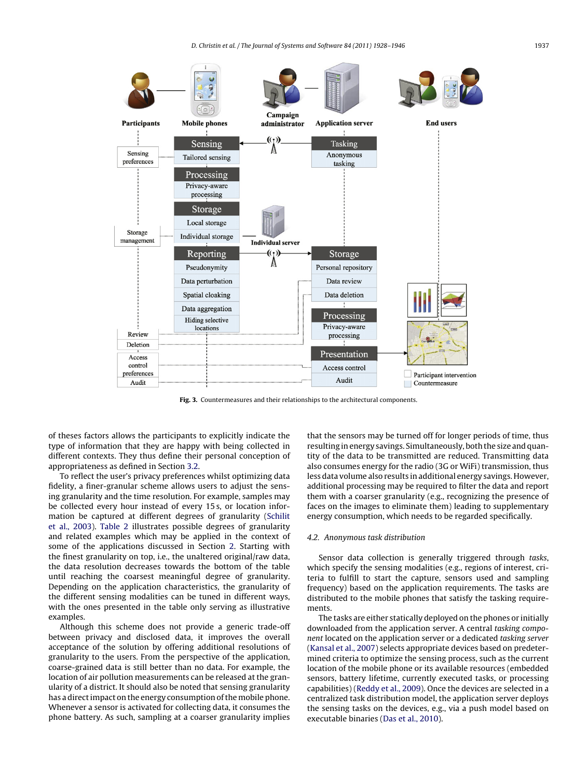<span id="page-9-0"></span>

**Fig. 3.** Countermeasures and their relationships to the architectural components.

of theses factors allows the participants to explicitly indicate the type of information that they are happy with being collected in different contexts. They thus define their personal conception of appropriateness as defined in Section [3.2.](#page-6-0)

To reflect the user's privacy preferences whilst optimizing data fidelity, a finer-granular scheme allows users to adjust the sensing granularity and the time resolution. For example, samples may be collected every hour instead of every 15 s, or location information be captured at different degrees of granularity ([Schilit](#page-17-0) et [al.,](#page-17-0) [2003\).](#page-17-0) [Table](#page-10-0) 2 illustrates possible degrees of granularity and related examples which may be applied in the context of some of the applications discussed in Section [2.](#page-1-0) Starting with the finest granularity on top, i.e., the unaltered original/raw data, the data resolution decreases towards the bottom of the table until reaching the coarsest meaningful degree of granularity. Depending on the application characteristics, the granularity of the different sensing modalities can be tuned in different ways, with the ones presented in the table only serving as illustrative examples.

Although this scheme does not provide a generic trade-off between privacy and disclosed data, it improves the overall acceptance of the solution by offering additional resolutions of granularity to the users. From the perspective of the application, coarse-grained data is still better than no data. For example, the location of air pollution measurements can be released at the granularity of a district. It should also be noted that sensing granularity has a direct impact on the energy consumption of the mobile phone. Whenever a sensor is activated for collecting data, it consumes the phone battery. As such, sampling at a coarser granularity implies that the sensors may be turned off for longer periods of time, thus resulting in energy savings. Simultaneously, both the size and quantity of the data to be transmitted are reduced. Transmitting data also consumes energy for the radio (3G or WiFi) transmission, thus less data volume also results in additional energy savings. However, additional processing may be required to filter the data and report them with a coarser granularity (e.g., recognizing the presence of faces on the images to eliminate them) leading to supplementary energy consumption, which needs to be regarded specifically.

#### 4.2. Anonymous task distribution

Sensor data collection is generally triggered through tasks, which specify the sensing modalities (e.g., regions of interest, criteria to fulfill to start the capture, sensors used and sampling frequency) based on the application requirements. The tasks are distributed to the mobile phones that satisfy the tasking requirements.

The tasks are either statically deployed on the phones or initially downloaded from the application server. A central tasking component located on the application server or a dedicated tasking server [\(Kansal](#page-17-0) et [al.,](#page-17-0) [2007\)](#page-17-0) selects appropriate devices based on predetermined criteria to optimize the sensing process, such as the current location of the mobile phone or its available resources (embedded sensors, battery lifetime, currently executed tasks, or processing capabilities) ([Reddy](#page-17-0) et [al.,](#page-17-0) [2009\).](#page-17-0) Once the devices are selected in a centralized task distribution model, the application server deploys the sensing tasks on the devices, e.g., via a push model based on executable binaries [\(Das](#page-16-0) et [al.,](#page-16-0) [2010\).](#page-16-0)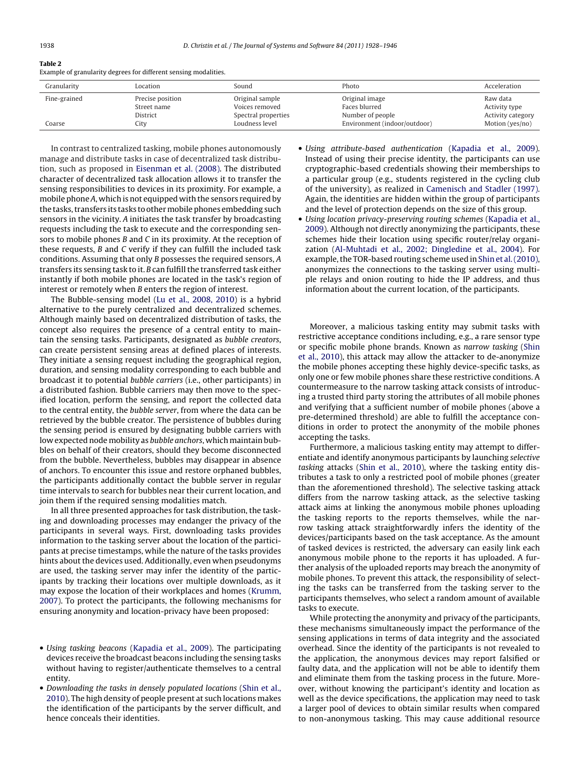<span id="page-10-0"></span>

| Example of granularity degrees for different sensing modalities. |  |  |
|------------------------------------------------------------------|--|--|
|                                                                  |  |  |

| Granularity  | Location                        | Sound                             | Photo                           | Acceleration              |
|--------------|---------------------------------|-----------------------------------|---------------------------------|---------------------------|
| Fine-grained | Precise position<br>Street name | Original sample<br>Voices removed | Original image<br>Faces blurred | Raw data<br>Activity type |
|              | District                        | Spectral properties               | Number of people                | Activity category         |
| Coarse       | City                            | Loudness level                    | Environment (indoor/outdoor)    | Motion (yes/no)           |

In contrast to centralized tasking, mobile phones autonomously manage and distribute tasks in case of decentralized task distribution, such as proposed in [Eisenman](#page-16-0) et [al.](#page-16-0) [\(2008\).](#page-16-0) The distributed character of decentralized task allocation allows it to transfer the sensing responsibilities to devices in its proximity. For example, a mobile phone A, which is not equipped with the sensors required by the tasks, transfers its tasks to other mobile phones embedding such sensors in the vicinity. A initiates the task transfer by broadcasting requests including the task to execute and the corresponding sensors to mobile phones B and C in its proximity. At the reception of these requests, B and C verify if they can fulfill the included task conditions. Assuming that only B possesses the required sensors, A transfers its sensing task to it. B can fulfill the transferred task either instantly if both mobile phones are located in the task's region of interest or remotely when B enters the region of interest.

The Bubble-sensing model ([Lu](#page-17-0) et [al.,](#page-17-0) [2008,](#page-17-0) [2010\)](#page-17-0) is a hybrid alternative to the purely centralized and decentralized schemes. Although mainly based on decentralized distribution of tasks, the concept also requires the presence of a central entity to maintain the sensing tasks. Participants, designated as bubble creators, can create persistent sensing areas at defined places of interests. They initiate a sensing request including the geographical region, duration, and sensing modality corresponding to each bubble and broadcast it to potential bubble carriers (i.e., other participants) in a distributed fashion. Bubble carriers may then move to the specified location, perform the sensing, and report the collected data to the central entity, the bubble server, from where the data can be retrieved by the bubble creator. The persistence of bubbles during the sensing period is ensured by designating bubble carriers with low expected node mobility as bubble anchors, which maintain bubbles on behalf of their creators, should they become disconnected from the bubble. Nevertheless, bubbles may disappear in absence of anchors. To encounter this issue and restore orphaned bubbles, the participants additionally contact the bubble server in regular time intervals to search for bubbles near their current location, and join them if the required sensing modalities match.

In all three presented approaches for task distribution, the tasking and downloading processes may endanger the privacy of the participants in several ways. First, downloading tasks provides information to the tasking server about the location of the participants at precise timestamps, while the nature of the tasks provides hints about the devices used. Additionally, even when pseudonyms are used, the tasking server may infer the identity of the participants by tracking their locations over multiple downloads, as it may expose the location of their workplaces and homes [\(Krumm,](#page-17-0) [2007\).](#page-17-0) To protect the participants, the following mechanisms for ensuring anonymity and location-privacy have been proposed:

- Using tasking beacons [\(Kapadia](#page-17-0) et [al.,](#page-17-0) [2009\).](#page-17-0) The participating devices receive the broadcast beacons including the sensing tasks without having to register/authenticate themselves to a central entity.
- Downloading the tasks in densely populated locations [\(Shin](#page-17-0) et [al.,](#page-17-0) [2010\).](#page-17-0) The high density of people present at such locations makes the identification of the participants by the server difficult, and hence conceals their identities.
- Using attribute-based authentication ([Kapadia](#page-17-0) et [al.,](#page-17-0) [2009\).](#page-17-0) Instead of using their precise identity, the participants can use cryptographic-based credentials showing their memberships to a particular group (e.g., students registered in the cycling club of the university), as realized in [Camenisch](#page-16-0) [and](#page-16-0) [Stadler](#page-16-0) [\(1997\).](#page-16-0) Again, the identities are hidden within the group of participants and the level of protection depends on the size of this group.
- Using location privacy-preserving routing schemes [\(Kapadia](#page-17-0) et [al.,](#page-17-0) [2009\).](#page-17-0) Although not directly anonymizing the participants, these schemes hide their location using specific router/relay organization [\(Al-Muhtadi](#page-16-0) et [al.,](#page-16-0) [2002;](#page-16-0) [Dingledine](#page-16-0) et [al.,](#page-16-0) [2004\).](#page-16-0) For example, the TOR-based routing scheme used in [Shin](#page-17-0) et al. (2010), anonymizes the connections to the tasking server using multiple relays and onion routing to hide the IP address, and thus information about the current location, of the participants.

Moreover, a malicious tasking entity may submit tasks with restrictive acceptance conditions including, e.g., a rare sensor type or specific mobile phone brands. Known as narrow tasking ([Shin](#page-17-0) et [al.,](#page-17-0) [2010\),](#page-17-0) this attack may allow the attacker to de-anonymize the mobile phones accepting these highly device-specific tasks, as only one or few mobile phones share these restrictive conditions. A countermeasure to the narrow tasking attack consists of introducing a trusted third party storing the attributes of all mobile phones and verifying that a sufficient number of mobile phones (above a pre-determined threshold) are able to fulfill the acceptance conditions in order to protect the anonymity of the mobile phones accepting the tasks.

Furthermore, a malicious tasking entity may attempt to differentiate and identify anonymous participants by launching selective tasking attacks ([Shin](#page-17-0) et [al.,](#page-17-0) [2010\),](#page-17-0) where the tasking entity distributes a task to only a restricted pool of mobile phones (greater than the aforementioned threshold). The selective tasking attack differs from the narrow tasking attack, as the selective tasking attack aims at linking the anonymous mobile phones uploading the tasking reports to the reports themselves, while the narrow tasking attack straightforwardly infers the identity of the devices/participants based on the task acceptance. As the amount of tasked devices is restricted, the adversary can easily link each anonymous mobile phone to the reports it has uploaded. A further analysis of the uploaded reports may breach the anonymity of mobile phones. To prevent this attack, the responsibility of selecting the tasks can be transferred from the tasking server to the participants themselves, who select a random amount of available tasks to execute.

While protecting the anonymity and privacy of the participants, these mechanisms simultaneously impact the performance of the sensing applications in terms of data integrity and the associated overhead. Since the identity of the participants is not revealed to the application, the anonymous devices may report falsified or faulty data, and the application will not be able to identify them and eliminate them from the tasking process in the future. Moreover, without knowing the participant's identity and location as well as the device specifications, the application may need to task a larger pool of devices to obtain similar results when compared to non-anonymous tasking. This may cause additional resource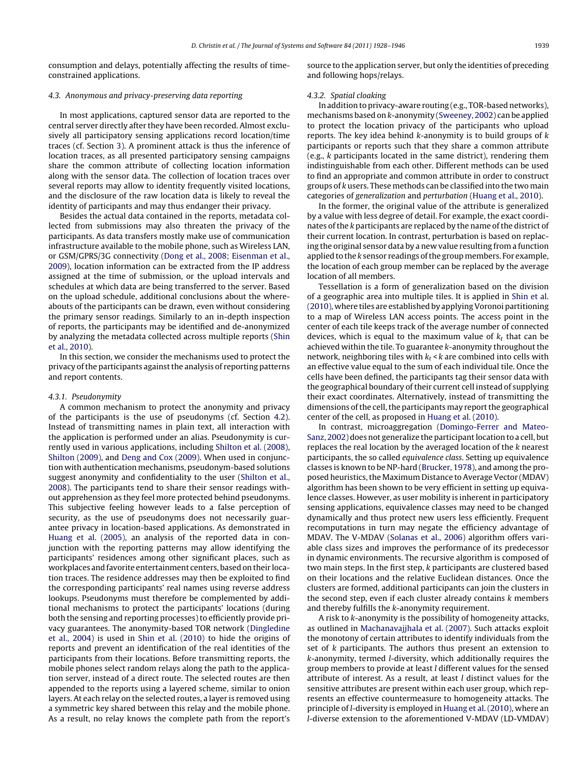<span id="page-11-0"></span>consumption and delays, potentially affecting the results of timeconstrained applications.

source to the application server, but only the identities of preceding and following hops/relays.

# 4.3. Anonymous and privacy-preserving data reporting

In most applications, captured sensor data are reported to the central server directly after they have been recorded. Almost exclusively all participatory sensing applications record location/time traces (cf. Section [3\).](#page-5-0) A prominent attack is thus the inference of location traces, as all presented participatory sensing campaigns share the common attribute of collecting location information along with the sensor data. The collection of location traces over several reports may allow to identity frequently visited locations, and the disclosure of the raw location data is likely to reveal the identity of participants and may thus endanger their privacy.

Besides the actual data contained in the reports, metadata collected from submissions may also threaten the privacy of the participants. As data transfers mostly make use of communication infrastructure available to the mobile phone, such as Wireless LAN, or GSM/GPRS/3G connectivity [\(Dong](#page-16-0) et [al.,](#page-16-0) [2008;](#page-16-0) [Eisenman](#page-16-0) et [al.,](#page-16-0) [2009\),](#page-16-0) location information can be extracted from the IP address assigned at the time of submission, or the upload intervals and schedules at which data are being transferred to the server. Based on the upload schedule, additional conclusions about the whereabouts of the participants can be drawn, even without considering the primary sensor readings. Similarly to an in-depth inspection of reports, the participants may be identified and de-anonymized by analyzing the metadata collected across multiple reports ([Shin](#page-17-0) et [al.,](#page-17-0) [2010\).](#page-17-0)

In this section, we consider the mechanisms used to protect the privacy of the participants against the analysis of reporting patterns and report contents.

#### 4.3.1. Pseudonymity

A common mechanism to protect the anonymity and privacy of the participants is the use of pseudonyms (cf. Section [4.2\).](#page-9-0) Instead of transmitting names in plain text, all interaction with the application is performed under an alias. Pseudonymity is currently used in various applications, including [Shilton](#page-17-0) et [al.](#page-17-0) [\(2008\),](#page-17-0) [Shilton](#page-17-0) [\(2009\),](#page-17-0) and [Deng](#page-16-0) [and](#page-16-0) [Cox](#page-16-0) [\(2009\).](#page-16-0) When used in conjunction with authentication mechanisms, pseudonym-based solutions suggest anonymity and confidentiality to the user [\(Shilton](#page-17-0) et [al.,](#page-17-0) [2008\).](#page-17-0) The participants tend to share their sensor readings without apprehension as they feel more protected behind pseudonyms. This subjective feeling however leads to a false perception of security, as the use of pseudonyms does not necessarily guarantee privacy in location-based applications. As demonstrated in [Huang](#page-17-0) et [al.](#page-17-0) [\(2005\),](#page-17-0) an analysis of the reported data in conjunction with the reporting patterns may allow identifying the participants' residences among other significant places, such as workplaces and favorite entertainment centers, based ontheir location traces. The residence addresses may then be exploited to find the corresponding participants' real names using reverse address lookups. Pseudonyms must therefore be complemented by additional mechanisms to protect the participants' locations (during both the sensing and reporting processes) to efficiently provide privacy guarantees. The anonymity-based TOR network ([Dingledine](#page-16-0) et [al.,](#page-16-0) [2004\)](#page-16-0) is used in [Shin](#page-17-0) et [al.](#page-17-0) [\(2010\)](#page-17-0) to hide the origins of reports and prevent an identification of the real identities of the participants from their locations. Before transmitting reports, the mobile phones select random relays along the path to the application server, instead of a direct route. The selected routes are then appended to the reports using a layered scheme, similar to onion layers. At each relay on the selected routes, a layer is removed using a symmetric key shared between this relay and the mobile phone. As a result, no relay knows the complete path from the report's

#### 4.3.2. Spatial cloaking

In addition to privacy-aware routing (e.g., TOR-based networks), mechanisms based on k-anonymity ([Sweeney,](#page-17-0) [2002\)](#page-17-0) can be applied to protect the location privacy of the participants who upload reports. The key idea behind  $k$ -anonymity is to build groups of  $k$ participants or reports such that they share a common attribute (e.g., k participants located in the same district), rendering them indistinguishable from each other. Different methods can be used to find an appropriate and common attribute in order to construct groups of k users. These methods can be classified into the two main categories of generalization and perturbation ([Huang](#page-16-0) et [al.,](#page-16-0) [2010\).](#page-16-0)

In the former, the original value of the attribute is generalized by a value with less degree of detail. For example, the exact coordinates of the k participants are replaced by the name of the district of their current location. In contrast, perturbation is based on replacing the original sensor data by a new value resulting from a function applied to the  $k$  sensor readings of the group members. For example, the location of each group member can be replaced by the average location of all members.

Tessellation is a form of generalization based on the division of a geographic area into multiple tiles. It is applied in [Shin](#page-17-0) et [al.](#page-17-0) [\(2010\),](#page-17-0) where tiles are established by applying Voronoi partitioning to a map of Wireless LAN access points. The access point in the center of each tile keeps track of the average number of connected devices, which is equal to the maximum value of  $k_t$  that can be achieved within the tile. To guarantee k-anonymity throughout the network, neighboring tiles with  $k_t \le k$  are combined into cells with an effective value equal to the sum of each individual tile. Once the cells have been defined, the participants tag their sensor data with the geographical boundary of their current cell instead of supplying their exact coordinates. Alternatively, instead of transmitting the dimensions of the cell, the participants may report the geographical center of the cell, as proposed in [Huang](#page-16-0) et [al.](#page-16-0) [\(2010\).](#page-16-0)

In contrast, microaggregation ([Domingo-Ferrer](#page-16-0) [and](#page-16-0) [Mateo-](#page-16-0)Sanz, [2002\)](#page-16-0) does not generalize the participant location to a cell, but replaces the real location by the averaged location of the k nearest participants, the so called equivalence class. Setting up equivalence classes is known to be NP-hard ([Brucker,](#page-16-0) [1978\),](#page-16-0) and among the proposed heuristics, the Maximum Distance to Average Vector (MDAV) algorithm has been shown to be very efficient in setting up equivalence classes. However, as user mobility is inherent in participatory sensing applications, equivalence classes may need to be changed dynamically and thus protect new users less efficiently. Frequent recomputations in turn may negate the efficiency advantage of MDAV. The V-MDAV ([Solanas](#page-17-0) et [al.,](#page-17-0) [2006\)](#page-17-0) algorithm offers variable class sizes and improves the performance of its predecessor in dynamic environments. The recursive algorithm is composed of two main steps. In the first step, k participants are clustered based on their locations and the relative Euclidean distances. Once the clusters are formed, additional participants can join the clusters in the second step, even if each cluster already contains  $k$  members and thereby fulfills the k-anonymity requirement.

A risk to k-anonymity is the possibility of homogeneity attacks, as outlined in [Machanavajjhala](#page-17-0) et [al.](#page-17-0) [\(2007\).](#page-17-0) Such attacks exploit the monotony of certain attributes to identify individuals from the set of k participants. The authors thus present an extension to k-anonymity, termed l-diversity, which additionally requires the group members to provide at least l different values for the sensed attribute of interest. As a result, at least  $l$  distinct values for the sensitive attributes are present within each user group, which represents an effective countermeasure to homogeneity attacks. The principle of l-diversity is employed in [Huang](#page-16-0) et [al.](#page-16-0) [\(2010\),](#page-16-0) where an l-diverse extension to the aforementioned V-MDAV (LD-VMDAV)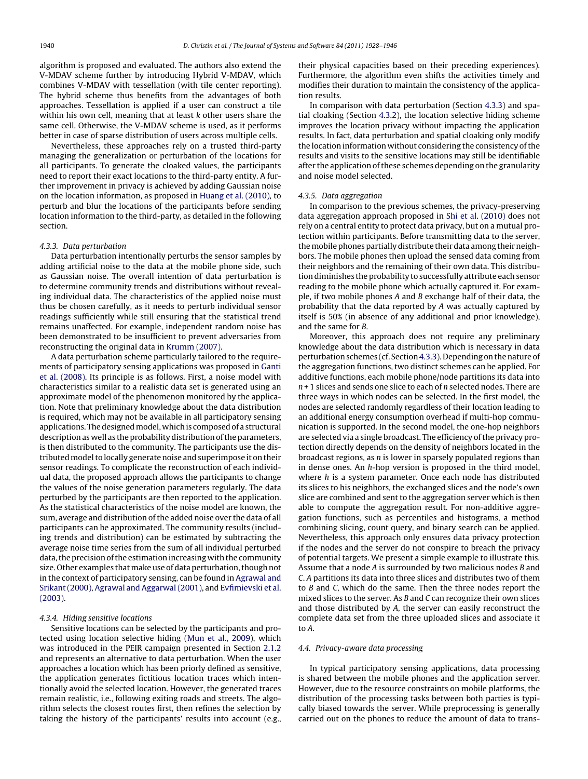<span id="page-12-0"></span>algorithm is proposed and evaluated. The authors also extend the V-MDAV scheme further by introducing Hybrid V-MDAV, which combines V-MDAV with tessellation (with tile center reporting). The hybrid scheme thus benefits from the advantages of both approaches. Tessellation is applied if a user can construct a tile within his own cell, meaning that at least k other users share the same cell. Otherwise, the V-MDAV scheme is used, as it performs better in case of sparse distribution of users across multiple cells.

Nevertheless, these approaches rely on a trusted third-party managing the generalization or perturbation of the locations for all participants. To generate the cloaked values, the participants need to report their exact locations to the third-party entity. A further improvement in privacy is achieved by adding Gaussian noise on the location information, as proposed in [Huang](#page-16-0) et [al.](#page-16-0) [\(2010\),](#page-16-0) to perturb and blur the locations of the participants before sending location information to the third-party, as detailed in the following section.

#### 4.3.3. Data perturbation

Data perturbation intentionally perturbs the sensor samples by adding artificial noise to the data at the mobile phone side, such as Gaussian noise. The overall intention of data perturbation is to determine community trends and distributions without revealing individual data. The characteristics of the applied noise must thus be chosen carefully, as it needs to perturb individual sensor readings sufficiently while still ensuring that the statistical trend remains unaffected. For example, independent random noise has been demonstrated to be insufficient to prevent adversaries from reconstructing the original data in [Krumm](#page-17-0) [\(2007\).](#page-17-0)

A data perturbation scheme particularly tailored to the requirements of participatory sensing applications was proposed in [Ganti](#page-16-0) et [al.](#page-16-0) [\(2008\).](#page-16-0) Its principle is as follows. First, a noise model with characteristics similar to a realistic data set is generated using an approximate model of the phenomenon monitored by the application. Note that preliminary knowledge about the data distribution is required, which may not be available in all participatory sensing applications. The designed model, which is composed of a structural description as well as the probability distribution of the parameters, is then distributed to the community. The participants use the distributed model to locally generate noise and superimpose it on their sensor readings. To complicate the reconstruction of each individual data, the proposed approach allows the participants to change the values of the noise generation parameters regularly. The data perturbed by the participants are then reported to the application. As the statistical characteristics of the noise model are known, the sum, average and distribution of the added noise over the data of all participants can be approximated. The community results (including trends and distribution) can be estimated by subtracting the average noise time series from the sum of all individual perturbed data, the precision of the estimation increasing with the community size. Other examples that make use of data perturbation, though not in the context of participatory sensing, can be found in [Agrawal](#page-16-0) [and](#page-16-0) [Srikant\(2000\),](#page-16-0) [Agrawal](#page-16-0) [and](#page-16-0) [Aggarwal\(2001\),](#page-16-0) and [Evfimievski](#page-16-0) et [al.](#page-16-0) [\(2003\).](#page-16-0)

#### 4.3.4. Hiding sensitive locations

Sensitive locations can be selected by the participants and protected using location selective hiding [\(Mun](#page-17-0) [et](#page-17-0) [al.,](#page-17-0) [2009\),](#page-17-0) which was introduced in the PEIR campaign presented in Section [2.1.2](#page-2-0) and represents an alternative to data perturbation. When the user approaches a location which has been priorly defined as sensitive, the application generates fictitious location traces which intentionally avoid the selected location. However, the generated traces remain realistic, i.e., following exiting roads and streets. The algorithm selects the closest routes first, then refines the selection by taking the history of the participants' results into account (e.g., their physical capacities based on their preceding experiences). Furthermore, the algorithm even shifts the activities timely and modifies their duration to maintain the consistency of the application results.

In comparison with data perturbation (Section 4.3.3) and spatial cloaking (Section [4.3.2\),](#page-11-0) the location selective hiding scheme improves the location privacy without impacting the application results. In fact, data perturbation and spatial cloaking only modify the location information without considering the consistency ofthe results and visits to the sensitive locations may still be identifiable after the application of these schemes depending on the granularity and noise model selected.

#### 4.3.5. Data aggregation

In comparison to the previous schemes, the privacy-preserving data aggregation approach proposed in [Shi](#page-17-0) [et](#page-17-0) [al.](#page-17-0) [\(2010\)](#page-17-0) does not rely on a central entity to protect data privacy, but on a mutual protection within participants. Before transmitting data to the server, the mobile phones partially distribute their data among their neighbors. The mobile phones then upload the sensed data coming from their neighbors and the remaining of their own data. This distribution diminishes the probability to successfully attribute each sensor reading to the mobile phone which actually captured it. For example, if two mobile phones A and B exchange half of their data, the probability that the data reported by A was actually captured by itself is 50% (in absence of any additional and prior knowledge), and the same for B.

Moreover, this approach does not require any preliminary knowledge about the data distribution which is necessary in data perturbation schemes (cf. Section 4.3.3). Depending on the nature of the aggregation functions, two distinct schemes can be applied. For additive functions, each mobile phone/node partitions its data into  $n + 1$  slices and sends one slice to each of n selected nodes. There are three ways in which nodes can be selected. In the first model, the nodes are selected randomly regardless of their location leading to an additional energy consumption overhead if multi-hop communication is supported. In the second model, the one-hop neighbors are selected via a single broadcast. The efficiency ofthe privacy protection directly depends on the density of neighbors located in the broadcast regions, as  $n$  is lower in sparsely populated regions than in dense ones. An h-hop version is proposed in the third model, where *h* is a system parameter. Once each node has distributed its slices to his neighbors, the exchanged slices and the node's own slice are combined and sent to the aggregation server which is then able to compute the aggregation result. For non-additive aggregation functions, such as percentiles and histograms, a method combining slicing, count query, and binary search can be applied. Nevertheless, this approach only ensures data privacy protection if the nodes and the server do not conspire to breach the privacy of potential targets. We present a simple example to illustrate this. Assume that a node A is surrounded by two malicious nodes B and C. A partitions its data into three slices and distributes two of them to B and C, which do the same. Then the three nodes report the mixed slices to the server. As B and C can recognize their own slices and those distributed by A, the server can easily reconstruct the complete data set from the three uploaded slices and associate it to A.

#### 4.4. Privacy-aware data processing

In typical participatory sensing applications, data processing is shared between the mobile phones and the application server. However, due to the resource constraints on mobile platforms, the distribution of the processing tasks between both parties is typically biased towards the server. While preprocessing is generally carried out on the phones to reduce the amount of data to trans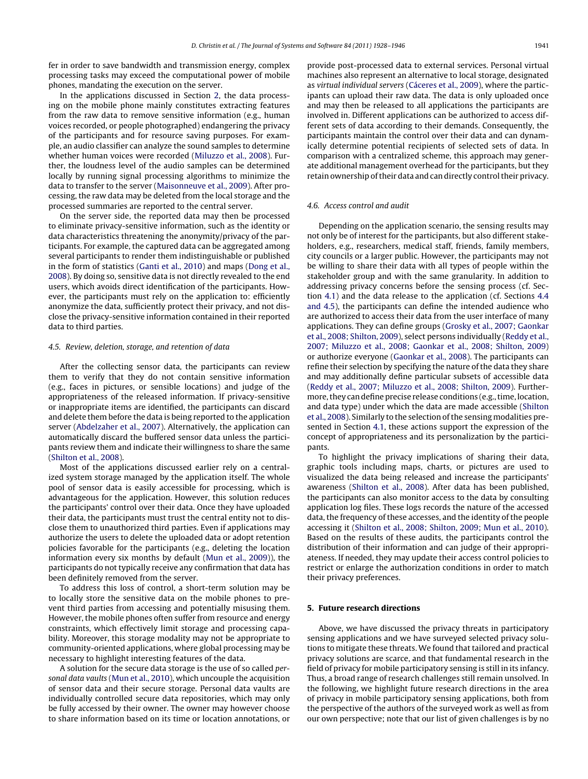<span id="page-13-0"></span>fer in order to save bandwidth and transmission energy, complex processing tasks may exceed the computational power of mobile phones, mandating the execution on the server.

In the applications discussed in Section [2,](#page-1-0) the data processing on the mobile phone mainly constitutes extracting features from the raw data to remove sensitive information (e.g., human voices recorded, or people photographed) endangering the privacy of the participants and for resource saving purposes. For example, an audio classifier can analyze the sound samples to determine whether human voices were recorded [\(Miluzzo](#page-17-0) [et](#page-17-0) [al.,](#page-17-0) [2008\).](#page-17-0) Further, the loudness level of the audio samples can be determined locally by running signal processing algorithms to minimize the data to transfer to the server ([Maisonneuve](#page-17-0) et [al.,](#page-17-0) [2009\).](#page-17-0) After processing, the raw data may be deleted from the local storage and the processed summaries are reported to the central server.

On the server side, the reported data may then be processed to eliminate privacy-sensitive information, such as the identity or data characteristics threatening the anonymity/privacy of the participants. For example, the captured data can be aggregated among several participants to render them indistinguishable or published in the form of statistics ([Ganti](#page-16-0) et [al.,](#page-16-0) [2010\)](#page-16-0) and maps [\(Dong](#page-16-0) et [al.,](#page-16-0) [2008\).](#page-16-0) By doing so, sensitive data is not directly revealed to the end users, which avoids direct identification of the participants. However, the participants must rely on the application to: efficiently anonymize the data, sufficiently protect their privacy, and not disclose the privacy-sensitive information contained in their reported data to third parties.

# 4.5. Review, deletion, storage, and retention of data

After the collecting sensor data, the participants can review them to verify that they do not contain sensitive information (e.g., faces in pictures, or sensible locations) and judge of the appropriateness of the released information. If privacy-sensitive or inappropriate items are identified, the participants can discard and delete them before the data is being reported to the application server [\(Abdelzaher](#page-16-0) et [al.,](#page-16-0) [2007\).](#page-16-0) Alternatively, the application can automatically discard the buffered sensor data unless the participants review them and indicate their willingness to share the same ([Shilton](#page-17-0) et [al.,](#page-17-0) [2008\).](#page-17-0)

Most of the applications discussed earlier rely on a centralized system storage managed by the application itself. The whole pool of sensor data is easily accessible for processing, which is advantageous for the application. However, this solution reduces the participants' control over their data. Once they have uploaded their data, the participants must trust the central entity not to disclose them to unauthorized third parties. Even if applications may authorize the users to delete the uploaded data or adopt retention policies favorable for the participants (e.g., deleting the location information every six months by default ([Mun](#page-17-0) et [al.,](#page-17-0) [2009\)\)](#page-17-0), the participants do not typically receive any confirmation that data has been definitely removed from the server.

To address this loss of control, a short-term solution may be to locally store the sensitive data on the mobile phones to prevent third parties from accessing and potentially misusing them. However, the mobile phones often suffer from resource and energy constraints, which effectively limit storage and processing capability. Moreover, this storage modality may not be appropriate to community-oriented applications, where global processing may be necessary to highlight interesting features of the data.

A solution for the secure data storage is the use of so called personal data vaults ([Mun](#page-17-0) et [al.,](#page-17-0) [2010\),](#page-17-0) which uncouple the acquisition of sensor data and their secure storage. Personal data vaults are individually controlled secure data repositories, which may only be fully accessed by their owner. The owner may however choose to share information based on its time or location annotations, or provide post-processed data to external services. Personal virtual machines also represent an alternative to local storage, designated as virtual individual servers [\(Cáceres](#page-16-0) et [al.,](#page-16-0) [2009\),](#page-16-0) where the participants can upload their raw data. The data is only uploaded once and may then be released to all applications the participants are involved in. Different applications can be authorized to access different sets of data according to their demands. Consequently, the participants maintain the control over their data and can dynamically determine potential recipients of selected sets of data. In comparison with a centralized scheme, this approach may generate additional management overhead for the participants, but they retain ownership of their data and can directly control their privacy.

#### 4.6. Access control and audit

Depending on the application scenario, the sensing results may not only be of interest for the participants, but also different stakeholders, e.g., researchers, medical staff, friends, family members, city councils or a larger public. However, the participants may not be willing to share their data with all types of people within the stakeholder group and with the same granularity. In addition to addressing privacy concerns before the sensing process (cf. Section [4.1\)](#page-8-0) and the data release to the application (cf. Sections [4.4](#page-12-0) [and](#page-12-0) [4.5\),](#page-12-0) the participants can define the intended audience who are authorized to access their data from the user interface of many applications. They can define groups [\(Grosky](#page-16-0) et [al.,](#page-16-0) [2007;](#page-16-0) [Gaonkar](#page-16-0) et [al.,](#page-16-0) [2008;](#page-16-0) [Shilton,](#page-16-0) [2009\),](#page-16-0) select persons individually ([Reddy](#page-17-0) et [al.,](#page-17-0) [2007;](#page-17-0) [Miluzzo](#page-17-0) et [al.,](#page-17-0) [2008;](#page-17-0) [Gaonkar](#page-17-0) et [al.,](#page-17-0) [2008;](#page-17-0) [Shilton,](#page-17-0) [2009\)](#page-17-0) or authorize everyone [\(Gaonkar](#page-16-0) et [al.,](#page-16-0) [2008\).](#page-16-0) The participants can refine their selection by specifying the nature of the data they share and may additionally define particular subsets of accessible data [\(Reddy](#page-17-0) et [al.,](#page-17-0) [2007;](#page-17-0) [Miluzzo](#page-17-0) et [al.,](#page-17-0) [2008;](#page-17-0) [Shilton,](#page-17-0) [2009\).](#page-17-0) Furthermore, they can define precise release conditions (e.g., time, location, and data type) under which the data are made accessible ([Shilton](#page-17-0) et [al.,](#page-17-0) [2008\).](#page-17-0) Similarly to the selection of the sensing modalities presented in Section [4.1,](#page-8-0) these actions support the expression of the concept of appropriateness and its personalization by the participants.

To highlight the privacy implications of sharing their data, graphic tools including maps, charts, or pictures are used to visualized the data being released and increase the participants' awareness [\(Shilton](#page-17-0) et [al.,](#page-17-0) [2008\).](#page-17-0) After data has been published, the participants can also monitor access to the data by consulting application log files. These logs records the nature of the accessed data, the frequency of these accesses, and the identity of the people accessing it [\(Shilton](#page-17-0) et [al.,](#page-17-0) [2008;](#page-17-0) [Shilton,](#page-17-0) [2009;](#page-17-0) [Mun](#page-17-0) et [al.,](#page-17-0) [2010\).](#page-17-0) Based on the results of these audits, the participants control the distribution of their information and can judge of their appropriateness. If needed, they may update their access control policies to restrict or enlarge the authorization conditions in order to match their privacy preferences.

#### **5. Future research directions**

Above, we have discussed the privacy threats in participatory sensing applications and we have surveyed selected privacy solutions to mitigate these threats. We found that tailored and practical privacy solutions are scarce, and that fundamental research in the field of privacy for mobile participatory sensing is still in its infancy. Thus, a broad range of research challenges still remain unsolved. In the following, we highlight future research directions in the area of privacy in mobile participatory sensing applications, both from the perspective of the authors of the surveyed work as well as from our own perspective; note that our list of given challenges is by no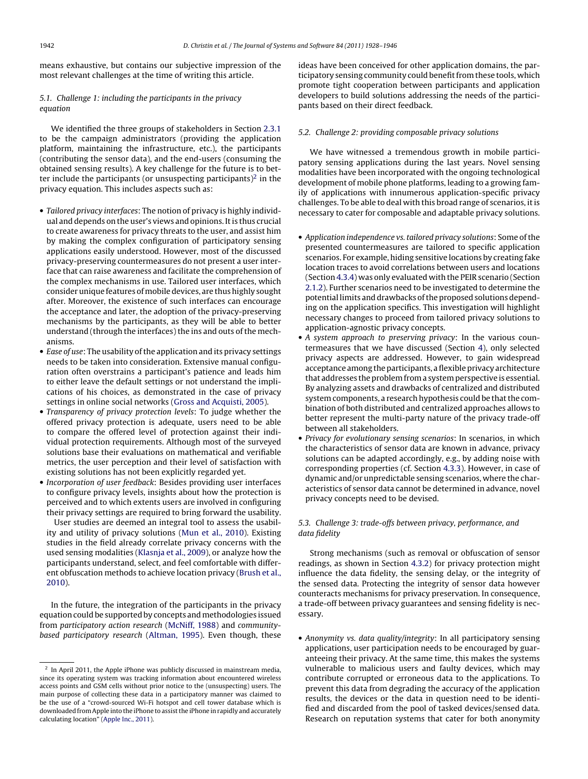<span id="page-14-0"></span>means exhaustive, but contains our subjective impression of the most relevant challenges at the time of writing this article.

# 5.1. Challenge 1: including the participants in the privacy equation

We identified the three groups of stakeholders in Section [2.3.1](#page-4-0) to be the campaign administrators (providing the application platform, maintaining the infrastructure, etc.), the participants (contributing the sensor data), and the end-users (consuming the obtained sensing results). A key challenge for the future is to better include the participants (or unsuspecting participants)<sup>2</sup> in the privacy equation. This includes aspects such as:

- Tailored privacy interfaces: The notion of privacy is highly individual and depends on the user's views and opinions. It is thus crucial to create awareness for privacy threats to the user, and assist him by making the complex configuration of participatory sensing applications easily understood. However, most of the discussed privacy-preserving countermeasures do not present a user interface that can raise awareness and facilitate the comprehension of the complex mechanisms in use. Tailored user interfaces, which consider unique features of mobile devices, are thus highly sought after. Moreover, the existence of such interfaces can encourage the acceptance and later, the adoption of the privacy-preserving mechanisms by the participants, as they will be able to better understand (through the interfaces) the ins and outs of the mechanisms.
- Ease of use: The usability of the application and its privacy settings needs to be taken into consideration. Extensive manual configuration often overstrains a participant's patience and leads him to either leave the default settings or not understand the implications of his choices, as demonstrated in the case of privacy settings in online social networks ([Gross](#page-16-0) [and](#page-16-0) [Acquisti,](#page-16-0) [2005\).](#page-16-0)
- Transparency of privacy protection levels: To judge whether the offered privacy protection is adequate, users need to be able to compare the offered level of protection against their individual protection requirements. Although most of the surveyed solutions base their evaluations on mathematical and verifiable metrics, the user perception and their level of satisfaction with existing solutions has not been explicitly regarded yet.
- Incorporation of user feedback: Besides providing user interfaces to configure privacy levels, insights about how the protection is perceived and to which extents users are involved in configuring their privacy settings are required to bring forward the usability.

User studies are deemed an integral tool to assess the usability and utility of privacy solutions ([Mun](#page-17-0) et [al.,](#page-17-0) [2010\).](#page-17-0) Existing studies in the field already correlate privacy concerns with the used sensing modalities [\(Klasnja](#page-17-0) et [al.,](#page-17-0) [2009\),](#page-17-0) or analyze how the participants understand, select, and feel comfortable with different obfuscation methods to achieve location privacy ([Brush](#page-16-0) et [al.,](#page-16-0) [2010\).](#page-16-0)

In the future, the integration of the participants in the privacy equation could be supported by concepts andmethodologies issued from participatory action research ([McNiff,](#page-17-0) [1988\)](#page-17-0) and communitybased participatory research ([Altman,](#page-16-0) [1995\).](#page-16-0) Even though, these ideas have been conceived for other application domains, the participatory sensing community could benefit from these tools, which promote tight cooperation between participants and application developers to build solutions addressing the needs of the participants based on their direct feedback.

#### 5.2. Challenge 2: providing composable privacy solutions

We have witnessed a tremendous growth in mobile participatory sensing applications during the last years. Novel sensing modalities have been incorporated with the ongoing technological development of mobile phone platforms, leading to a growing family of applications with innumerous application-specific privacy challenges. To be able to deal with this broad range of scenarios, it is necessary to cater for composable and adaptable privacy solutions.

- Application independence vs. tailored privacy solutions: Some of the presented countermeasures are tailored to specific application scenarios. For example, hiding sensitive locations by creating fake location traces to avoid correlations between users and locations (Section [4.3.4\)](#page-12-0) was only evaluated with the PEIR scenario (Section [2.1.2\).](#page-2-0) Further scenarios need to be investigated to determine the potential limits and drawbacks ofthe proposed solutions depending on the application specifics. This investigation will highlight necessary changes to proceed from tailored privacy solutions to application-agnostic privacy concepts.
- A system approach to preserving privacy: In the various countermeasures that we have discussed (Section [4\),](#page-8-0) only selected privacy aspects are addressed. However, to gain widespread acceptance among the participants, a flexible privacy architecture that addresses the problem from a system perspective is essential. By analyzing assets and drawbacks of centralized and distributed system components, a research hypothesis could be that the combination of both distributed and centralized approaches allows to better represent the multi-party nature of the privacy trade-off between all stakeholders.
- Privacy for evolutionary sensing scenarios: In scenarios, in which the characteristics of sensor data are known in advance, privacy solutions can be adapted accordingly, e.g., by adding noise with corresponding properties (cf. Section [4.3.3\).](#page-12-0) However, in case of dynamic and/or unpredictable sensing scenarios, where the characteristics of sensor data cannot be determined in advance, novel privacy concepts need to be devised.

# 5.3. Challenge 3: trade-offs between privacy, performance, and data fidelity

Strong mechanisms (such as removal or obfuscation of sensor readings, as shown in Section [4.3.2\)](#page-11-0) for privacy protection might influence the data fidelity, the sensing delay, or the integrity of the sensed data. Protecting the integrity of sensor data however counteracts mechanisms for privacy preservation. In consequence, a trade-off between privacy guarantees and sensing fidelity is necessary.

• Anonymity vs. data quality/integrity: In all participatory sensing applications, user participation needs to be encouraged by guaranteeing their privacy. At the same time, this makes the systems vulnerable to malicious users and faulty devices, which may contribute corrupted or erroneous data to the applications. To prevent this data from degrading the accuracy of the application results, the devices or the data in question need to be identified and discarded from the pool of tasked devices/sensed data. Research on reputation systems that cater for both anonymity

 $2$  In April 2011, the Apple iPhone was publicly discussed in mainstream media, since its operating system was tracking information about encountered wireless access points and GSM cells without prior notice to the (unsuspecting) users. The main purpose of collecting these data in a participatory manner was claimed to be the use of a "crowd-sourced Wi-Fi hotspot and cell tower database which is downloaded fromApple into the iPhone to assistthe iPhone in rapidly and accurately calculating location" [\(Apple](#page-16-0) [Inc.,](#page-16-0) [2011\).](#page-16-0)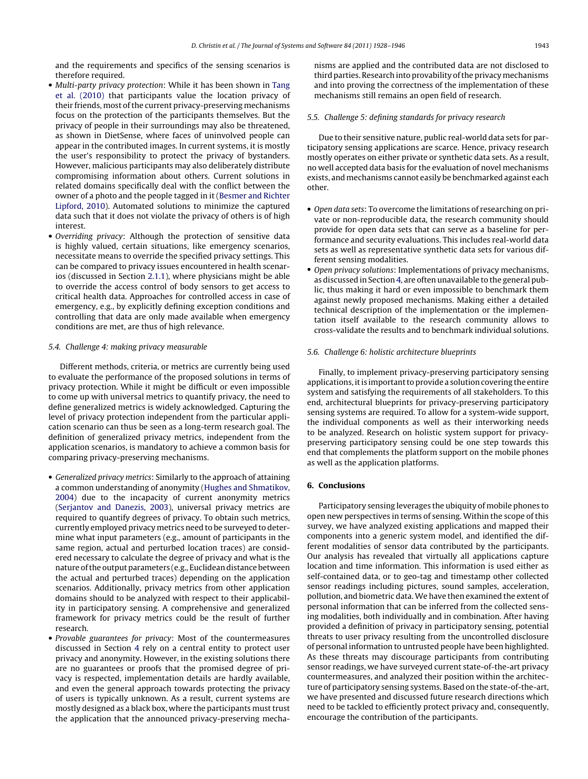<span id="page-15-0"></span>and the requirements and specifics of the sensing scenarios is therefore required.

- Multi-party privacy protection: While it has been shown in [Tang](#page-17-0) et [al.](#page-17-0) [\(2010\)](#page-17-0) that participants value the location privacy of their friends, most of the current privacy-preserving mechanisms focus on the protection of the participants themselves. But the privacy of people in their surroundings may also be threatened, as shown in DietSense, where faces of uninvolved people can appear in the contributed images. In current systems, it is mostly the user's responsibility to protect the privacy of bystanders. However, malicious participants may also deliberately distribute compromising information about others. Current solutions in related domains specifically deal with the conflict between the owner of a photo and the people tagged in it ([Besmer](#page-16-0) [and](#page-16-0) [Richter](#page-16-0) [Lipford,](#page-16-0) [2010\).](#page-16-0) Automated solutions to minimize the captured data such that it does not violate the privacy of others is of high interest.
- Overriding privacy: Although the protection of sensitive data is highly valued, certain situations, like emergency scenarios, necessitate means to override the specified privacy settings. This can be compared to privacy issues encountered in health scenarios (discussed in Section [2.1.1\),](#page-1-0) where physicians might be able to override the access control of body sensors to get access to critical health data. Approaches for controlled access in case of emergency, e.g., by explicitly defining exception conditions and controlling that data are only made available when emergency conditions are met, are thus of high relevance.

#### 5.4. Challenge 4: making privacy measurable

Different methods, criteria, or metrics are currently being used to evaluate the performance of the proposed solutions in terms of privacy protection. While it might be difficult or even impossible to come up with universal metrics to quantify privacy, the need to define generalized metrics is widely acknowledged. Capturing the level of privacy protection independent from the particular application scenario can thus be seen as a long-term research goal. The definition of generalized privacy metrics, independent from the application scenarios, is mandatory to achieve a common basis for comparing privacy-preserving mechanisms.

- Generalized privacy metrics: Similarly to the approach of attaining a common understanding of anonymity [\(Hughes](#page-17-0) [and](#page-17-0) [Shmatikov,](#page-17-0) [2004\)](#page-17-0) due to the incapacity of current anonymity metrics [\(Serjantov](#page-17-0) [and](#page-17-0) [Danezis,](#page-17-0) [2003\),](#page-17-0) universal privacy metrics are required to quantify degrees of privacy. To obtain such metrics, currently employed privacy metrics need to be surveyed to determine what input parameters (e.g., amount of participants in the same region, actual and perturbed location traces) are considered necessary to calculate the degree of privacy and what is the nature of the output parameters (e.g., Euclidean distance between the actual and perturbed traces) depending on the application scenarios. Additionally, privacy metrics from other application domains should to be analyzed with respect to their applicability in participatory sensing. A comprehensive and generalized framework for privacy metrics could be the result of further research.
- Provable guarantees for privacy: Most of the countermeasures discussed in Section [4](#page-8-0) rely on a central entity to protect user privacy and anonymity. However, in the existing solutions there are no guarantees or proofs that the promised degree of privacy is respected, implementation details are hardly available, and even the general approach towards protecting the privacy of users is typically unknown. As a result, current systems are mostly designed as a black box, where the participants must trust the application that the announced privacy-preserving mecha-

nisms are applied and the contributed data are not disclosed to third parties. Research into provability of the privacy mechanisms and into proving the correctness of the implementation of these mechanisms still remains an open field of research.

#### 5.5. Challenge 5: defining standards for privacy research

Due to their sensitive nature, public real-world data sets for participatory sensing applications are scarce. Hence, privacy research mostly operates on either private or synthetic data sets. As a result, no well accepted data basis for the evaluation of novel mechanisms exists, and mechanisms cannot easily be benchmarked against each other.

- Open data sets: To overcome the limitations of researching on private or non-reproducible data, the research community should provide for open data sets that can serve as a baseline for performance and security evaluations. This includes real-world data sets as well as representative synthetic data sets for various different sensing modalities.
- Open privacy solutions: Implementations of privacy mechanisms, as discussed in Section [4,](#page-8-0) are often unavailable to the general public, thus making it hard or even impossible to benchmark them against newly proposed mechanisms. Making either a detailed technical description of the implementation or the implementation itself available to the research community allows to cross-validate the results and to benchmark individual solutions.

## 5.6. Challenge 6: holistic architecture blueprints

Finally, to implement privacy-preserving participatory sensing applications, it is important to provide a solution covering the entire system and satisfying the requirements of all stakeholders. To this end, architectural blueprints for privacy-preserving participatory sensing systems are required. To allow for a system-wide support, the individual components as well as their interworking needs to be analyzed. Research on holistic system support for privacypreserving participatory sensing could be one step towards this end that complements the platform support on the mobile phones as well as the application platforms.

### **6. Conclusions**

Participatory sensing leverages the ubiquity of mobile phones to open new perspectives in terms of sensing. Within the scope of this survey, we have analyzed existing applications and mapped their components into a generic system model, and identified the different modalities of sensor data contributed by the participants. Our analysis has revealed that virtually all applications capture location and time information. This information is used either as self-contained data, or to geo-tag and timestamp other collected sensor readings including pictures, sound samples, acceleration, pollution, and biometric data.We have then examined the extent of personal information that can be inferred from the collected sensing modalities, both individually and in combination. After having provided a definition of privacy in participatory sensing, potential threats to user privacy resulting from the uncontrolled disclosure of personal information to untrusted people have been highlighted. As these threats may discourage participants from contributing sensor readings, we have surveyed current state-of-the-art privacy countermeasures, and analyzed their position within the architecture of participatory sensing systems. Based on the state-of-the-art, we have presented and discussed future research directions which need to be tackled to efficiently protect privacy and, consequently, encourage the contribution of the participants.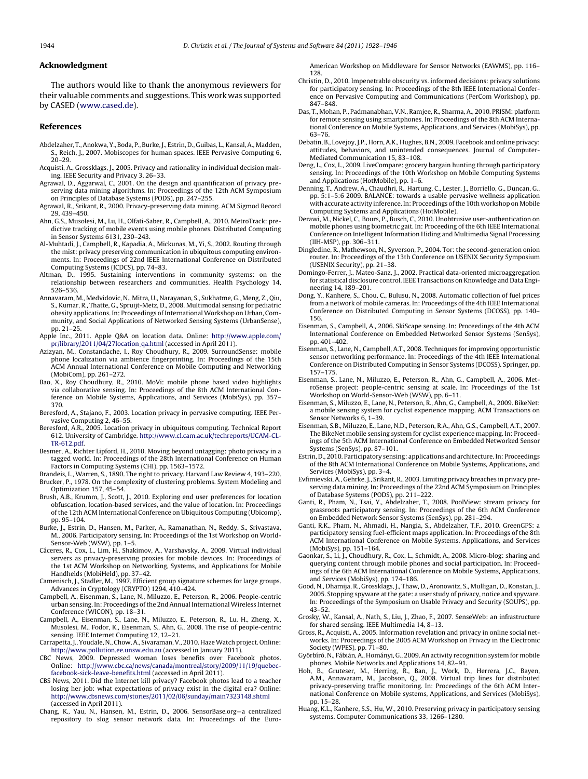#### <span id="page-16-0"></span>**Acknowledgment**

The authors would like to thank the anonymous reviewers for their valuable comments and suggestions. This work was supported by CASED ([www.cased.de\)](http://www.cased.de).

#### **References**

- Abdelzaher, T.,Anokwa, Y., Boda, P., Burke, J., Estrin, D., Guibas, L.,Kansal,A., Madden, S., Reich, J., 2007. Mobiscopes for human spaces. IEEE Pervasive Computing 6, 20–29.
- Acquisti, A., Grossklags, J., 2005. Privacy and rationality in individual decision making. IEEE Security and Privacy 3, 26–33.
- Agrawal, D., Aggarwal, C., 2001. On the design and quantification of privacy preserving data mining algorithms. In: Proceedings of the 12th ACM Symposium on Principles of Database Systems (PODS), pp. 247–255.
- Agrawal, R., Srikant, R., 2000. Privacy-preserving data mining. ACM Sigmod Record 29, 439–450.
- Ahn, G.S., Musolesi, M., Lu, H., Olfati-Saber, R., Campbell, A., 2010. MetroTrack: predictive tracking of mobile events using mobile phones. Distributed Computing in Sensor Systems 6131, 230–243.
- Al-Muhtadi, J., Campbell, R., Kapadia, A., Mickunas, M., Yi, S., 2002. Routing through the mist: privacy preserving communication in ubiquitous computing environments. In: Proceedings of 22nd IEEE International Conference on Distributed Computing Systems (ICDCS), pp. 74–83.
- Altman, D., 1995. Sustaining interventions in community systems: on the relationship between researchers and communities. Health Psychology 14, 526–536.
- Annavaram, M., Medvidovic, N., Mitra, U., Narayanan, S., Sukhatme, G., Meng, Z., Qiu, S., Kumar, R., Thatte, G., Spruijt-Metz, D., 2008. Multimodal sensing for pediatric obesity applications. In: Proceedings of International Workshop on Urban, Community, and Social Applications of Networked Sensing Systems (UrbanSense), pp. 21–25.
- Apple Inc., 2011. Apple Q&A on location data. Online: [http://www.apple.com/](http://www.apple.com/pr/library/2011/04/27location_qa.html) pr/library/2011/04/27location\_qa.html (accessed in April 2011).
- Azizyan, M., Constandache, I., Roy Choudhury, R., 2009. SurroundSense: mobile phone localization via ambience fingerprinting. In: Proceedings of the 15th ACM Annual International Conference on Mobile Computing and Networking (MobiCom), pp. 261–272.
- Bao, X., Roy Choudhury, R., 2010. MoVi: mobile phone based video highlights via collaborative sensing. In: Proceedings of the 8th ACM International Conference on Mobile Systems, Applications, and Services (MobiSys), pp. 357– 370.
- Beresford, A., Stajano, F., 2003. Location privacy in pervasive computing. IEEE Per-
- vasive Computing 2, 46–55. Beresford, A.R., 2005. Location privacy in ubiquitous computing. Technical Report 612. University of Cambridge. [http://www.cl.cam.ac.uk/techreports/UCAM-CL-](http://www.cl.cam.ac.uk/techreports/UCAM-CL-TR-612.pdf)TR-612.pdf.
- Besmer, A., Richter Lipford, H., 2010. Moving beyond untagging: photo privacy in a tagged world. In: Proceedings of the 28th International Conference on Human Factors in Computing Systems (CHI), pp. 1563–1572.
- Brandeis, L., Warren, S., 1890. The right to privacy. Harvard Law Review 4, 193–220. Brucker, P., 1978. On the complexity of clustering problems. System Modeling and
- Optimization 157, 45–54. Brush, A.B., Krumm, J., Scott, J., 2010. Exploring end user preferences for location obfuscation, location-based services, and the value of location. In: Proceedings
- of the 12th ACM International Conference on Ubiquitous Computing (Ubicomp), pp. 95–104.
- Burke, J., Estrin, D., Hansen, M., Parker, A., Ramanathan, N., Reddy, S., Srivastava, M., 2006. Participatory sensing. In: Proceedings of the 1st Workshop on World-Sensor-Web (WSW), pp. 1–5.
- Cáceres, R., Cox, L., Lim, H., Shakimov, A., Varshavsky, A., 2009. Virtual individual servers as privacy-preserving proxies for mobile devices. In: Proceedings of the 1st ACM Workshop on Networking, Systems, and Applications for Mobile Handhelds (MobiHeld), pp. 37–42.
- Camenisch, J., Stadler, M., 1997. Efficient group signature schemes for large groups. Advances in Cryptology (CRYPTO) 1294, 410–424.
- Campbell, A., Eisenman, S., Lane, N., Miluzzo, E., Peterson, R., 2006. People-centric urban sensing. In: Proceedings of the 2nd Annual International Wireless Internet Conference (WICON), pp. 18–31.
- Campbell, A., Eisenman, S., Lane, N., Miluzzo, E., Peterson, R., Lu, H., Zheng, X., Musolesi, M., Fodor, K., Eisenman, S., Ahn, G., 2008. The rise of people-centric sensing. IEEE Internet Computing 12, 12–21.
- Carrapetta, J., Youdale, N., Chow, A., Sivaraman, V., 2010. Haze Watch project. Online: <http://www.pollution.ee.unsw.edu.au> (accessed in January 2011).
- CBC News, 2009. Depressed woman loses benefits over Facebook photos. Online: [http://www.cbc.ca/news/canada/montreal/story/2009/11/19/quebec](http://www.cbc.ca/news/canada/montreal/story/2009/11/19/quebec-facebook-sick-leave-benefits.html)facebook-sick-leave-benefits.html (accessed in April 2011).
- CBS News, 2011. Did the Internet kill privacy? Facebook photos lead to a teacher losing her job: what expectations of privacy exist in the digital era? Online: <http://www.cbsnews.com/stories/2011/02/06/sunday/main7323148.shtml> (accessed in April 2011).
- Chang, K., Yau, N., Hansen, M., Estrin, D., 2006. SensorBase.org—a centralized repository to slog sensor network data. In: Proceedings of the Euro-

American Workshop on Middleware for Sensor Networks (EAWMS), pp. 116– 128.

- Christin, D., 2010. Impenetrable obscurity vs. informed decisions: privacy solutions for participatory sensing. In: Proceedings of the 8th IEEE International Conference on Pervasive Computing and Communications (PerCom Workshop), pp. 847–848.
- Das, T., Mohan, P., Padmanabhan, V.N., Ramjee, R., Sharma, A., 2010. PRISM: platform for remote sensing using smartphones. In: Proceedings of the 8th ACM International Conference on Mobile Systems, Applications, and Services (MobiSys), pp. 63–76.
- Debatin, B., Lovejoy, J.P., Horn, A.K., Hughes, B.N., 2009. Facebook and online privacy: attitudes, behaviors, and unintended consequences. Journal of Computer-Mediated Communication 15, 83–108.
- Deng, L., Cox, L., 2009. LiveCompare: grocery bargain hunting through participatory sensing. In: Proceedings of the 10th Workshop on Mobile Computing Systems and Applications (HotMobile), pp. 1–6.
- Denning, T., Andrew, A., Chaudhri, R., Hartung, C., Lester, J., Borriello, G., Duncan, G., pp. 5:1–5:6 2009. BALANCE: towards a usable pervasive wellness application with accurate activity inference. In: Proceedings of the 10th workshop on Mobile Computing Systems and Applications (HotMobile).
- Derawi, M., Nickel, C., Bours, P., Busch, C., 2010. Unobtrusive user-authentication on mobile phones using biometric gait. In: Proceeding of the 6th IEEE International Conference on Intelligent Information Hiding and Multimedia Signal Processing (IIH-MSP), pp. 306–311.
- Dingledine, R., Mathewson, N., Syverson, P., 2004. Tor: the second-generation onion router. In: Proceedings of the 13th Conference on USENIX Security Symposium (USENIX Security), pp. 21–38.
- Domingo-Ferrer, J., Mateo-Sanz, J., 2002. Practical data-oriented microaggregation for statistical disclosure control. IEEE Transactions on Knowledge and Data Engineering 14, 189–201.
- Dong, Y., Kanhere, S., Chou, C., Bulusu, N., 2008. Automatic collection of fuel prices from a network of mobile cameras. In: Proceedings of the 4th IEEE International Conference on Distributed Computing in Sensor Systems (DCOSS), pp. 140– 156.
- Eisenman, S., Campbell, A., 2006. SkiScape sensing. In: Proceedings of the 4th ACM International Conference on Embedded Networked Sensor Systems (SenSys), pp. 401–402.
- Eisenman, S., Lane, N., Campbell, A.T., 2008. Techniques for improving opportunistic sensor networking performance. In: Proceedings of the 4th IEEE International Conference on Distributed Computing in Sensor Systems (DCOSS). Springer, pp. 157–175.
- Eisenman, S., Lane, N., Miluzzo, E., Peterson, R., Ahn, G., Campbell, A., 2006. MetroSense project: people-centric sensing at scale. In: Proceedings of the 1st Workshop on World-Sensor-Web (WSW), pp. 6–11.
- Eisenman, S., Miluzzo, E., Lane, N., Peterson, R., Ahn, G., Campbell, A., 2009. BikeNet: a mobile sensing system for cyclist experience mapping. ACM Transactions on Sensor Networks 6, 1–39.
- Eisenman, S.B., Miluzzo, E., Lane, N.D., Peterson, R.A., Ahn, G.S., Campbell, A.T., 2007. The BikeNet mobile sensing system for cyclist experience mapping. In: Proceedings of the 5th ACM International Conference on Embedded Networked Sensor Systems (SenSys), pp. 87–101.
- Estrin, D., 2010. Participatory sensing: applications and architecture. In: Proceedings of the 8th ACM International Conference on Mobile Systems, Applications, and Services (MobiSys), pp. 3–4.
- Evfimievski, A., Gehrke, J., Srikant, R., 2003. Limiting privacy breaches in privacy preserving data mining. In: Proceedings of the 22nd ACM Symposium on Principles of Database Systems (PODS), pp. 211–222.
- Ganti, R., Pham, N., Tsai, Y., Abdelzaher, T., 2008. PoolView: stream privacy for grassroots participatory sensing. In: Proceedings of the 6th ACM Conference on Embedded Network Sensor Systems (SenSys), pp. 281–294.
- Ganti, R.K., Pham, N., Ahmadi, H., Nangia, S., Abdelzaher, T.F., 2010. GreenGPS: a participatory sensing fuel-efficient maps application. In: Proceedings of the 8th ACM International Conference on Mobile Systems, Applications, and Services (MobiSys), pp. 151–164.
- Gaonkar, S., Li, J., Choudhury, R., Cox, L., Schmidt, A., 2008. Micro-blog: sharing and querying content through mobile phones and social participation. In: Proceedings of the 6th ACM International Conference on Mobile Systems, Applications, and Services (MobiSys), pp. 174–186.
- Good, N., Dhamija, R., Grossklags, J., Thaw, D., Aronowitz, S., Mulligan, D., Konstan, J., 2005. Stopping spyware at the gate: a user study of privacy, notice and spyware. In: Proceedings of the Symposium on Usable Privacy and Security (SOUPS), pp. 43–52.
- Grosky, W., Kansal, A., Nath, S., Liu, J., Zhao, F., 2007. SenseWeb: an infrastructure for shared sensing. IEEE Multimedia 14, 8–13.
- Gross, R., Acquisti, A., 2005. Information revelation and privacy in online social networks. In: Proceedings of the 2005 ACM Workshop on Privacy in the Electronic Society (WPES), pp. 71–80.
- Györbíró, N., Fábián, A., Hományi, G., 2009. An activity recognition system for mobile phones. Mobile Networks and Applications 14, 82–91.
- Hoh, B., Gruteser, M., Herring, R., Ban, J., Work, D., Herrera, J.C., Bayen, A.M., Annavaram, M., Jacobson, Q., 2008. Virtual trip lines for distributed privacy-preserving traffic monitoring. In: Proceedings of the 6th ACM International Conference on Mobile systems, Applications, and Services (MobiSys), pp. 15–28.
- Huang, K.L., Kanhere, S.S., Hu, W., 2010. Preserving privacy in participatory sensing systems. Computer Communications 33, 1266–1280.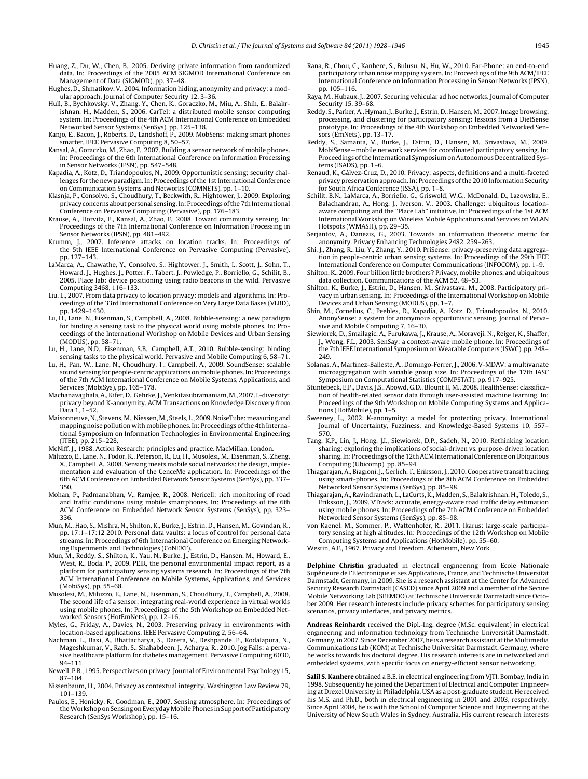- <span id="page-17-0"></span>Huang, Z., Du, W., Chen, B., 2005. Deriving private information from randomized data. In: Proceedings of the 2005 ACM SIGMOD International Conference on Management of Data (SIGMOD), pp. 37–48.
- Hughes, D., Shmatikov, V., 2004. Information hiding, anonymity and privacy: a modular approach. Journal of Computer Security 12, 3–36.
- Hull, B., Bychkovsky, V., Zhang, Y., Chen, K., Goraczko, M., Miu, A., Shih, E., Balakrishnan, H., Madden, S., 2006. CarTel: a distributed mobile sensor computing system. In: Proceedings of the 4th ACM International Conference on Embedded Networked Sensor Systems (SenSys), pp. 125–138.
- Kanjo, E., Bacon, J., Roberts, D., Landshoff, P., 2009. MobSens: making smart phones smarter. IEEE Pervasive Computing 8, 50–57.
- Kansal, A., Goraczko, M., Zhao, F., 2007. Building a sensor network of mobile phones. In: Proceedings of the 6th International Conference on Information Processing in Sensor Networks (IPSN), pp. 547–548.
- Kapadia, A., Kotz, D., Triandopoulos, N., 2009. Opportunistic sensing: security challenges for the new paradigm. In: Proceedings of the 1st International Conference on Communication Systems and Networks (COMNETS), pp. 1–10.
- Klasnja, P., Consolvo, S., Choudhury, T., Beckwith, R., Hightower, J., 2009. Exploring privacy concerns about personal sensing. In: Proceedings of the 7th International Conference on Pervasive Computing (Pervasive), pp. 176–183.
- Krause, A., Horvitz, E., Kansal, A., Zhao, F., 2008. Toward community sensing. In: Proceedings of the 7th International Conference on Information Processing in Sensor Networks (IPSN), pp. 481–492.
- Krumm, J., 2007. Inference attacks on location tracks. In: Proceedings of the 5th IEEE International Conference on Pervasive Computing (Pervasive), pp. 127–143.
- LaMarca, A., Chawathe, Y., Consolvo, S., Hightower, J., Smith, I., Scott, J., Sohn, T., Howard, J., Hughes, J., Potter, F., Tabert, J., Powledge, P., Borriello, G., Schilit, B., 2005. Place lab: device positioning using radio beacons in the wild. Pervasive Computing 3468, 116–133.
- Liu, L., 2007. From data privacy to location privacy: models and algorithms. In: Proceedings of the 33rd International Conference on Very Large Data Bases (VLBD), pp. 1429–1430.
- Lu, H., Lane, N., Eisenman, S., Campbell, A., 2008. Bubble-sensing: a new paradigm for binding a sensing task to the physical world using mobile phones. In: Proceedings of the International Workshop on Mobile Devices and Urban Sensing (MODUS), pp. 58–71.
- Lu, H., Lane, N.D., Eisenman, S.B., Campbell, A.T., 2010. Bubble-sensing: binding sensing tasks to the physical world. Pervasive and Mobile Computing 6, 58–71.
- Lu, H., Pan, W., Lane, N., Choudhury, T., Campbell, A., 2009. SoundSense: scalable sound sensing for people-centric applications on mobile phones. In: Proceedings of the 7th ACM International Conference on Mobile Systems, Applications, and Services (MobiSys), pp. 165–178.
- Machanavajjhala,A.,Kifer, D., Gehrke, J.,Venkitasubramaniam, M., 2007. L-diversity: privacy beyond K-anonymity. ACM Transactions on Knowledge Discovery from Data 1, 1–52.
- Maisonneuve, N., Stevens,M., Niessen,M., Steels, L., 2009. NoiseTube:measuring and mapping noise pollution with mobile phones. In: Proceedings of the 4th International Symposium on Information Technologies in Environmental Engineering (ITEE), pp. 215–228.
- McNiff, J., 1988. Action Research: principles and practice. MacMillan, London.
- Miluzzo, E., Lane, N., Fodor, K., Peterson, R., Lu, H., Musolesi, M., Eisenman, S., Zheng, X., Campbell, A., 2008. Sensing meets mobile social networks: the design, implementation and evaluation of the CenceMe application. In: Proceedings of the 6th ACM Conference on Embedded Network Sensor Systems (SenSys), pp. 337– 350.
- Mohan, P., Padmanabhan, V., Ramjee, R., 2008. Nericell: rich monitoring of road and traffic conditions using mobile smartphones. In: Proceedings of the 6th ACM Conference on Embedded Network Sensor Systems (SenSys), pp. 323– 336.
- Mun, M., Hao, S., Mishra, N., Shilton, K., Burke, J., Estrin, D., Hansen, M., Govindan, R., pp. 17:1–17:12 2010. Personal data vaults: a locus of control for personal data streams. In: Proceedings of 6th International Conference on Emerging Networking Experiments and Technologies (CoNEXT).
- Mun, M., Reddy, S., Shilton, K., Yau, N., Burke, J., Estrin, D., Hansen, M., Howard, E., West, R., Boda, P., 2009. PEIR, the personal environmental impact report, as a platform for participatory sensing systems research. In: Proceedings of the 7th ACM International Conference on Mobile Systems, Applications, and Services (MobiSys), pp. 55–68.
- Musolesi, M., Miluzzo, E., Lane, N., Eisenman, S., Choudhury, T., Campbell, A., 2008. The second life of a sensor: integrating real-world experience in virtual worlds using mobile phones. In: Proceedings of the 5th Workshop on Embedded Networked Sensors (HotEmNets), pp. 12–16.
- Myles, G., Friday, A., Davies, N., 2003. Preserving privacy in environments with location-based applications. IEEE Pervasive Computing 2, 56–64.
- Nachman, L., Baxi, A., Bhattacharya, S., Darera, V., Deshpande, P., Kodalapura, N., Mageshkumar, V., Rath, S., Shahabdeen, J., Acharya, R., 2010. Jog Falls: a pervasive healthcare platform for diabetes management. Pervasive Computing 6030, 94–111.
- Newell, P.B., 1995. Perspectives on privacy. Journal of Environmental Psychology 15, 87–104.
- Nissenbaum, H., 2004. Privacy as contextual integrity. Washington Law Review 79, 101–139.
- Paulos, E., Honicky, R., Goodman, E., 2007. Sensing atmosphere. In: Proceedings of theWorkshop on Sensing on Everyday Mobile Phones in Support of Participatory Research (SenSys Workshop), pp. 15–16.
- Rana, R., Chou, C., Kanhere, S., Bulusu, N., Hu, W., 2010. Ear-Phone: an end-to-end participatory urban noise mapping system. In: Proceedings of the 9th ACM/IEEE International Conference on Information Processing in Sensor Networks (IPSN), pp. 105–116.
- Raya, M., Hubaux, J., 2007. Securing vehicular ad hoc networks. Journal of Computer Security 15, 39–68.
- Reddy, S., Parker,A., Hyman, J., Burke, J., Estrin, D., Hansen, M., 2007. Image browsing, processing, and clustering for participatory sensing: lessons from a DietSense prototype. In: Proceedings of the 4th Workshop on Embedded Networked Sensors (EmNets), pp. 13–17.
- Reddy, S., Samanta, V., Burke, J., Estrin, D., Hansen, M., Srivastava, M., 2009. MobiSense—mobile network services for coordinated participatory sensing. In: Proceedings of the International Symposium on Autonomous Decentralized Systems (ISADS), pp. 1–6.
- Renaud, K., Gálvez-Cruz, D., 2010. Privacy: aspects, definitions and a multi-faceted privacy preservation approach. In: Proceedings ofthe 2010 Information Security for South Africa Conference (ISSA), pp. 1–8.
- Schilit, B.N., LaMarca, A., Borriello, G., Griswold, W.G., McDonald, D., Lazowska, E., Balachandran, A., Hong, J., Iverson, V., 2003. Challenge: ubiquitous locationaware computing and the "Place Lab" initiative. In: Proceedings of the 1st ACM International Workshop on Wireless Mobile Applications and Services on WLAN Hotspots (WMASH), pp. 29–35.
- Serjantov, A., Danezis, G., 2003. Towards an information theoretic metric for anonymity. Privacy Enhancing Technologies 2482, 259–263.
- Shi, J., Zhang, R., Liu, Y., Zhang, Y., 2010. PriSense: privacy-preserving data aggregation in people-centric urban sensing systems. In: Proceedings of the 29th IEEE International Conference on Computer Communications (INFOCOM), pp. 1–9.
- Shilton, K., 2009. Four billion little brothers? Privacy, mobile phones, and ubiquitous data collection. Communications of the ACM 52, 48–53.
- Shilton, K., Burke, J., Estrin, D., Hansen, M., Srivastava, M., 2008. Participatory privacy in urban sensing. In: Proceedings of the International Workshop on Mobile Devices and Urban Sensing (MODUS), pp. 1–7.
- Shin, M., Cornelius, C., Peebles, D., Kapadia, A., Kotz, D., Triandopoulos, N., 2010. AnonySense: a system for anonymous opportunistic sensing. Journal of Pervasive and Mobile Computing 7, 16–30.
- Siewiorek, D., Smailagic, A., Furukawa, J., Krause, A., Moraveji, N., Reiger, K., Shaffer, J., Wong, F.L., 2003. SenSay: a context-aware mobile phone. In: Proceedings of the 7th IEEE International Symposium on Wearable Computers (ISWC), pp. 248– 249.
- Solanas, A., Martinez-Balleste, A., Domingo-Ferrer, J., 2006. V-MDAV: a multivariate microaggregation with variable group size. In: Proceedings of the 17th IASC Symposium on Computational Statistics (COMPSTAT), pp. 917–925.
- Stuntebeck, E.P., Davis, J.S., Abowd, G.D., Blount II, M., 2008. HealthSense: classification of health-related sensor data through user-assisted machine learning. In: Proceedings of the 9th Workshop on Mobile Computing Systems and Applications (HotMobile), pp. 1–5.
- Sweeney, L., 2002. K-anonymity: a model for protecting privacy. International Journal of Uncertainty, Fuzziness, and Knowledge-Based Systems 10, 557– 570.
- Tang, K.P., Lin, J., Hong, J.I., Siewiorek, D.P., Sadeh, N., 2010. Rethinking location sharing: exploring the implications of social-driven vs. purpose-driven location sharing. In: Proceedings of the 12th ACM International Conference on Ubiquitous Computing (Ubicomp), pp. 85–94.
- Thiagarajan, A., Biagioni, J., Gerlich, T., Eriksson, J., 2010. Cooperative transittracking using smart-phones. In: Proceedings of the 8th ACM Conference on Embedded Networked Sensor Systems (SenSys), pp. 85–98.
- Thiagarajan, A., Ravindranath, L., LaCurts, K., Madden, S., Balakrishnan, H., Toledo, S., Eriksson, J., 2009. VTrack: accurate, energy-aware road traffic delay estimation using mobile phones. In: Proceedings of the 7th ACM Conference on Embedded Networked Sensor Systems (SenSys), pp. 85–98.
- von Kaenel, M., Sommer, P., Wattenhofer, R., 2011. Ikarus: large-scale participatory sensing at high altitudes. In: Proceedings of the 12th Workshop on Mobile Computing Systems and Applications (HotMobile), pp. 55–60.
- Westin, A.F., 1967. Privacy and Freedom. Atheneum, New York.

**Delphine Christin** graduated in electrical engineering from Ecole Nationale Supérieure de l'Electronique et ses Applications, France, and Technische Universität Darmstadt, Germany, in 2009. She is a research assistant at the Center for Advanced Security Research Darmstadt (CASED) since April 2009 and a member of the Secure Mobile Networking Lab (SEEMOO) at Technische Universität Darmstadt since October 2009. Her research interests include privacy schemes for participatory sensing scenarios, privacy interfaces, and privacy metrics.

**Andreas Reinhardt** received the Dipl.-Ing. degree (M.Sc. equivalent) in electrical engineering and information technology from Technische Universität Darmstadt, Germany, in 2007. Since December 2007, he is a research assistant at the Multimedia Communications Lab (KOM) at Technische Universität Darmstadt, Germany, where he works towards his doctoral degree. His research interests are in networked and embedded systems, with specific focus on energy-efficient sensor networking.

**Salil S. Kanhere** obtained a B.E. in electrical engineering from VJTI, Bombay, India in 1998. Subsequently he joined the Department of Electrical and Computer Engineering at Drexel University in Philadelphia, USA as a post-graduate student. He received his M.S. and Ph.D., both in electrical engineering in 2001 and 2003, respectively. Since April 2004, he is with the School of Computer Science and Engineering at the University of New South Wales in Sydney, Australia. His current research interests